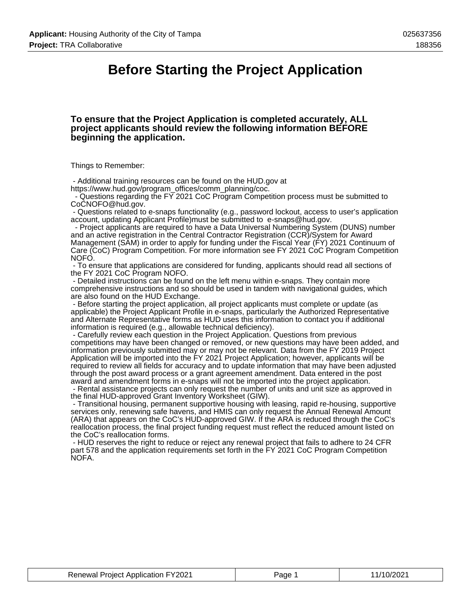### **Before Starting the Project Application**

#### **To ensure that the Project Application is completed accurately, ALL project applicants should review the following information BEFORE beginning the application.**

Things to Remember:

 - Additional training resources can be found on the HUD.gov at https://www.hud.gov/program\_offices/comm\_planning/coc.

 - Questions regarding the FY 2021 CoC Program Competition process must be submitted to CoCNOFO@hud.gov.

 - Questions related to e-snaps functionality (e.g., password lockout, access to user's application account, updating Applicant Profile)must be submitted to e-snaps@hud.gov.

 - Project applicants are required to have a Data Universal Numbering System (DUNS) number and an active registration in the Central Contractor Registration (CCR)/System for Award Management (SAM) in order to apply for funding under the Fiscal Year (FY) 2021 Continuum of Care (CoC) Program Competition. For more information see FY 2021 CoC Program Competition NOFO.

 - To ensure that applications are considered for funding, applicants should read all sections of the FY 2021 CoC Program NOFO.

 - Detailed instructions can be found on the left menu within e-snaps. They contain more comprehensive instructions and so should be used in tandem with navigational guides, which are also found on the HUD Exchange.

 - Before starting the project application, all project applicants must complete or update (as applicable) the Project Applicant Profile in e-snaps, particularly the Authorized Representative and Alternate Representative forms as HUD uses this information to contact you if additional information is required (e.g., allowable technical deficiency).

 - Carefully review each question in the Project Application. Questions from previous competitions may have been changed or removed, or new questions may have been added, and information previously submitted may or may not be relevant. Data from the FY 2019 Project Application will be imported into the FY 2021 Project Application; however, applicants will be required to review all fields for accuracy and to update information that may have been adjusted through the post award process or a grant agreement amendment. Data entered in the post award and amendment forms in e-snaps will not be imported into the project application.

 - Rental assistance projects can only request the number of units and unit size as approved in the final HUD-approved Grant Inventory Worksheet (GIW).

 - Transitional housing, permanent supportive housing with leasing, rapid re-housing, supportive services only, renewing safe havens, and HMIS can only request the Annual Renewal Amount (ARA) that appears on the CoC's HUD-approved GIW. If the ARA is reduced through the CoC's reallocation process, the final project funding request must reflect the reduced amount listed on the CoC's reallocation forms.

 - HUD reserves the right to reduce or reject any renewal project that fails to adhere to 24 CFR part 578 and the application requirements set forth in the FY 2021 CoC Program Competition NOFA.

| <b>Renewal Project Application FY2021</b> | Page 1 | 11/10/2021 |
|-------------------------------------------|--------|------------|
|-------------------------------------------|--------|------------|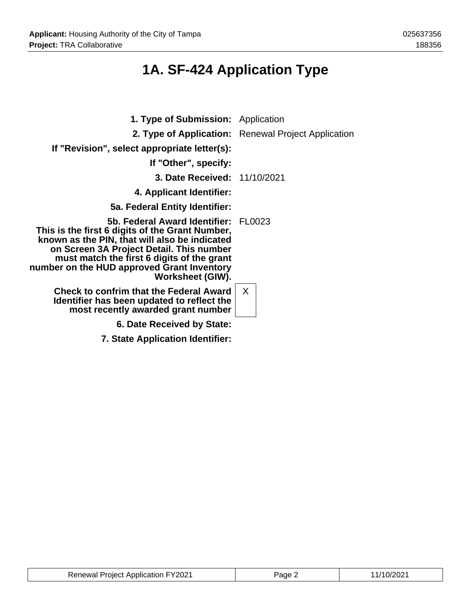# **1A. SF-424 Application Type**

| <b>1. Type of Submission:</b> Application                                                                                                                                                                                                                                                                   |                                                     |
|-------------------------------------------------------------------------------------------------------------------------------------------------------------------------------------------------------------------------------------------------------------------------------------------------------------|-----------------------------------------------------|
|                                                                                                                                                                                                                                                                                                             | 2. Type of Application: Renewal Project Application |
| If "Revision", select appropriate letter(s):                                                                                                                                                                                                                                                                |                                                     |
| If "Other", specify:                                                                                                                                                                                                                                                                                        |                                                     |
| <b>3. Date Received: 11/10/2021</b>                                                                                                                                                                                                                                                                         |                                                     |
| 4. Applicant Identifier:                                                                                                                                                                                                                                                                                    |                                                     |
| 5a. Federal Entity Identifier:                                                                                                                                                                                                                                                                              |                                                     |
| <b>5b. Federal Award Identifier: FL0023</b><br>This is the first 6 digits of the Grant Number,<br>known as the PIN, that will also be indicated<br>on Screen 3A Project Detail. This number<br>must match the first 6 digits of the grant<br>number on the HUD approved Grant Inventory<br>Worksheet (GIW). |                                                     |
| <b>Check to confrim that the Federal Award</b><br>Identifier has been updated to reflect the<br>most recently awarded grant number                                                                                                                                                                          | $\sf X$                                             |
| 6. Date Received by State:                                                                                                                                                                                                                                                                                  |                                                     |
| 7. State Application Identifier:                                                                                                                                                                                                                                                                            |                                                     |

| <b>Renewal Project Application FY2021</b> | Page 2 | 11/10/2021 |
|-------------------------------------------|--------|------------|
|-------------------------------------------|--------|------------|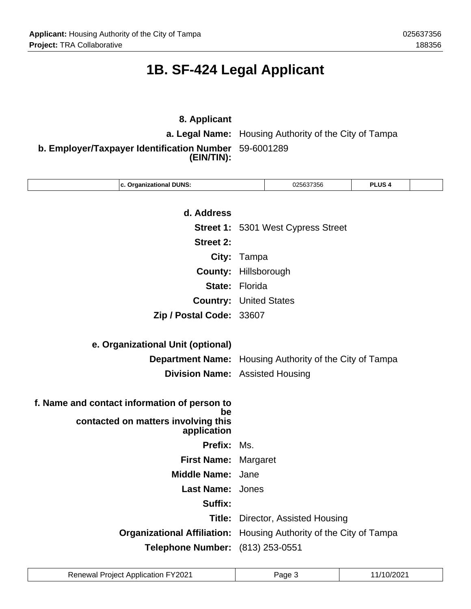# **1B. SF-424 Legal Applicant**

### **8. Applicant**

**a. Legal Name:** Housing Authority of the City of Tampa

**b. Employer/Taxpayer Identification Number** 59-6001289 **(EIN/TIN):**

| c. Organizational DUNS:                                                   |                       | 025637356                                                      | PLUS <sub>4</sub> |  |
|---------------------------------------------------------------------------|-----------------------|----------------------------------------------------------------|-------------------|--|
|                                                                           |                       |                                                                |                   |  |
| d. Address                                                                |                       |                                                                |                   |  |
|                                                                           |                       | <b>Street 1: 5301 West Cypress Street</b>                      |                   |  |
| <b>Street 2:</b>                                                          |                       |                                                                |                   |  |
| City:                                                                     | Tampa                 |                                                                |                   |  |
| <b>County:</b>                                                            | Hillsborough          |                                                                |                   |  |
|                                                                           | <b>State: Florida</b> |                                                                |                   |  |
| <b>Country: United States</b>                                             |                       |                                                                |                   |  |
| Zip / Postal Code: 33607                                                  |                       |                                                                |                   |  |
|                                                                           |                       |                                                                |                   |  |
| e. Organizational Unit (optional)                                         |                       |                                                                |                   |  |
|                                                                           |                       | <b>Department Name:</b> Housing Authority of the City of Tampa |                   |  |
| <b>Division Name:</b> Assisted Housing                                    |                       |                                                                |                   |  |
|                                                                           |                       |                                                                |                   |  |
| f. Name and contact information of person to<br>be                        |                       |                                                                |                   |  |
| contacted on matters involving this<br>application                        |                       |                                                                |                   |  |
| Prefix: Ms.                                                               |                       |                                                                |                   |  |
| First Name: Margaret                                                      |                       |                                                                |                   |  |
| Middle Name: Jane                                                         |                       |                                                                |                   |  |
| Last Name: Jones                                                          |                       |                                                                |                   |  |
| Suffix:                                                                   |                       |                                                                |                   |  |
| Title:                                                                    |                       | Director, Assisted Housing                                     |                   |  |
| <b>Organizational Affiliation:</b> Housing Authority of the City of Tampa |                       |                                                                |                   |  |
| Telephone Number: (813) 253-0551                                          |                       |                                                                |                   |  |
|                                                                           |                       |                                                                |                   |  |

| <b>Renewal Project Application FY2021</b> | Page 3 | 11/10/2021 |
|-------------------------------------------|--------|------------|
|-------------------------------------------|--------|------------|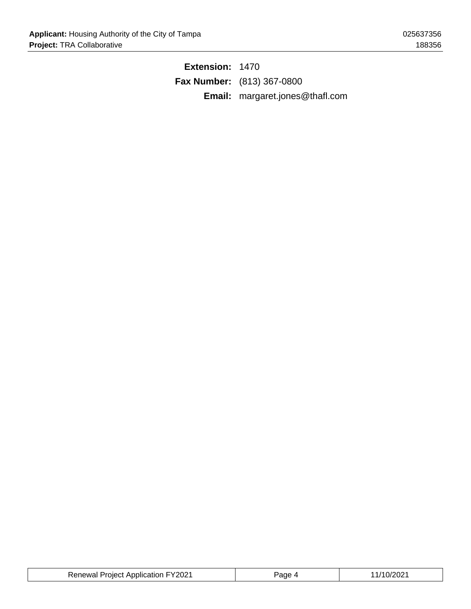**Extension:** 1470 **Fax Number:** (813) 367-0800 **Email:** margaret.jones@thafl.com

| <b>Renewal Project Application FY2021</b> | Page⊹ | 11/10/2021 |
|-------------------------------------------|-------|------------|
|-------------------------------------------|-------|------------|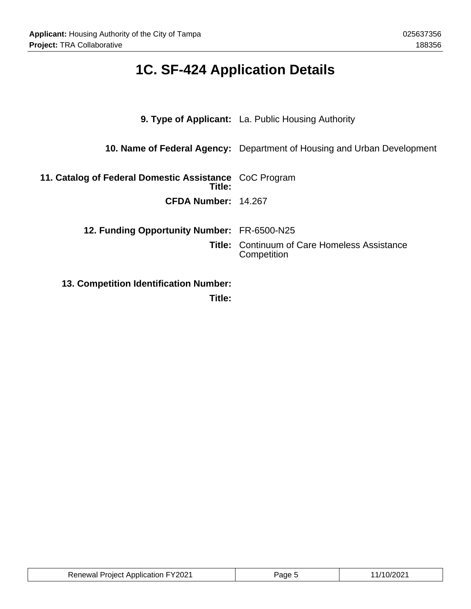# **1C. SF-424 Application Details**

|                                                                  | <b>9. Type of Applicant:</b> La. Public Housing Authority               |
|------------------------------------------------------------------|-------------------------------------------------------------------------|
|                                                                  | 10. Name of Federal Agency: Department of Housing and Urban Development |
| 11. Catalog of Federal Domestic Assistance CoC Program<br>Title: |                                                                         |
| CFDA Number: 14.267                                              |                                                                         |
| 12. Funding Opportunity Number: FR-6500-N25                      |                                                                         |
|                                                                  | <b>Title:</b> Continuum of Care Homeless Assistance<br>Competition      |
| <b>13. Competition Identification Number:</b>                    |                                                                         |
|                                                                  |                                                                         |

**Title:**

| <b>Renewal Project Application FY2021</b> | 'ane |  |
|-------------------------------------------|------|--|
|-------------------------------------------|------|--|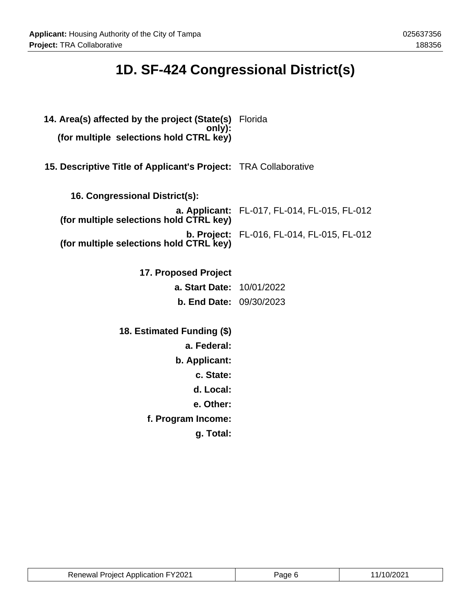# **1D. SF-424 Congressional District(s)**

| 14. Area(s) affected by the project (State(s) Florida<br>only):<br>(for multiple selections hold CTRL key) |                                                     |
|------------------------------------------------------------------------------------------------------------|-----------------------------------------------------|
| 15. Descriptive Title of Applicant's Project: TRA Collaborative                                            |                                                     |
| 16. Congressional District(s):                                                                             |                                                     |
| (for multiple selections hold CTRL key)                                                                    | <b>a. Applicant:</b> FL-017, FL-014, FL-015, FL-012 |
| (for multiple selections hold CTRL key)                                                                    | <b>b. Project:</b> FL-016, FL-014, FL-015, FL-012   |
| 17. Proposed Project                                                                                       |                                                     |
| a. Start Date: 10/01/2022                                                                                  |                                                     |
| <b>b. End Date: 09/30/2023</b>                                                                             |                                                     |
| 18. Estimated Funding (\$)                                                                                 |                                                     |
| a. Federal:                                                                                                |                                                     |
| b. Applicant:                                                                                              |                                                     |
| c. State:                                                                                                  |                                                     |
| d. Local:                                                                                                  |                                                     |
| e. Other:                                                                                                  |                                                     |
| f. Program Income:                                                                                         |                                                     |
| g. Total:                                                                                                  |                                                     |

| <b>Renewal Project Application FY2021</b> | <sup>D</sup> age 6 | 11/10/2021 |
|-------------------------------------------|--------------------|------------|
|-------------------------------------------|--------------------|------------|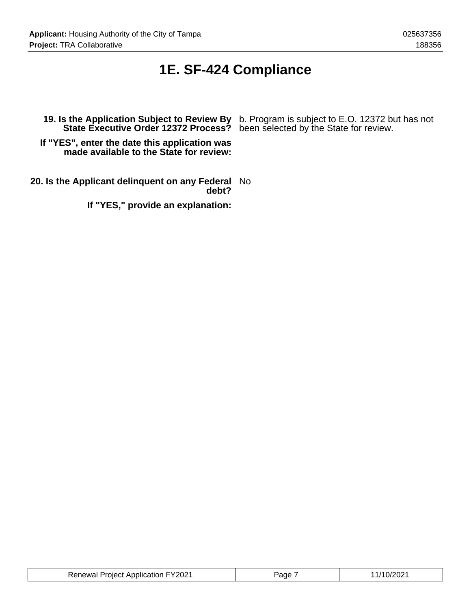## **1E. SF-424 Compliance**

**State Executive Order 12372 Process?** been selected by the State for review.

**19. Is the Application Subject to Review By** b. Program is subject to E.O. 12372 but has not

**If "YES", enter the date this application was made available to the State for review:**

**20. Is the Applicant delinquent on any Federal** No **debt?**

**If "YES," provide an explanation:**

| <b>Renewal Project Application FY2021</b> | Page | 11/10/2021 |
|-------------------------------------------|------|------------|
|-------------------------------------------|------|------------|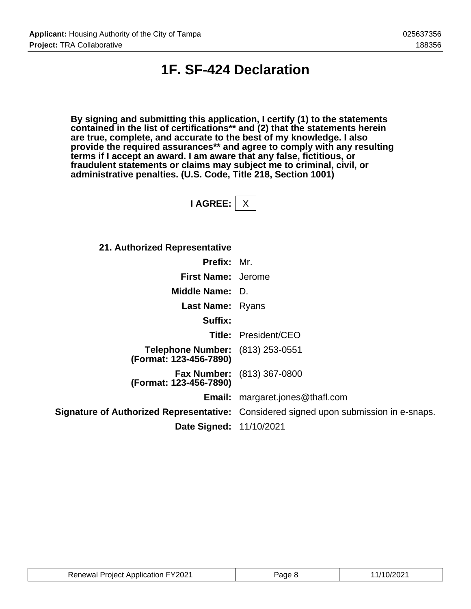# **1F. SF-424 Declaration**

**By signing and submitting this application, I certify (1) to the statements contained in the list of certifications\*\* and (2) that the statements herein are true, complete, and accurate to the best of my knowledge. I also provide the required assurances\*\* and agree to comply with any resulting terms if I accept an award. I am aware that any false, fictitious, or fraudulent statements or claims may subject me to criminal, civil, or administrative penalties. (U.S. Code, Title 218, Section 1001)**

**I AGREE:** X

**21. Authorized Representative**

| Prefix: Mr.                                                       |                                                                                              |
|-------------------------------------------------------------------|----------------------------------------------------------------------------------------------|
| <b>First Name: Jerome</b>                                         |                                                                                              |
| Middle Name: D.                                                   |                                                                                              |
| <b>Last Name:</b> Ryans                                           |                                                                                              |
| Suffix:                                                           |                                                                                              |
|                                                                   | <b>Title:</b> President/CEO                                                                  |
| <b>Telephone Number:</b> (813) 253-0551<br>(Format: 123-456-7890) |                                                                                              |
| (Format: 123-456-7890)                                            | <b>Fax Number:</b> (813) 367-0800                                                            |
|                                                                   | <b>Email:</b> margaret.jones@thafl.com                                                       |
|                                                                   | <b>Signature of Authorized Representative:</b> Considered signed upon submission in e-snaps. |
| <b>Date Signed: 11/10/2021</b>                                    |                                                                                              |

| <b>Renewal Project Application FY2021</b> | Page 8 | 11/10/2021 |
|-------------------------------------------|--------|------------|
|-------------------------------------------|--------|------------|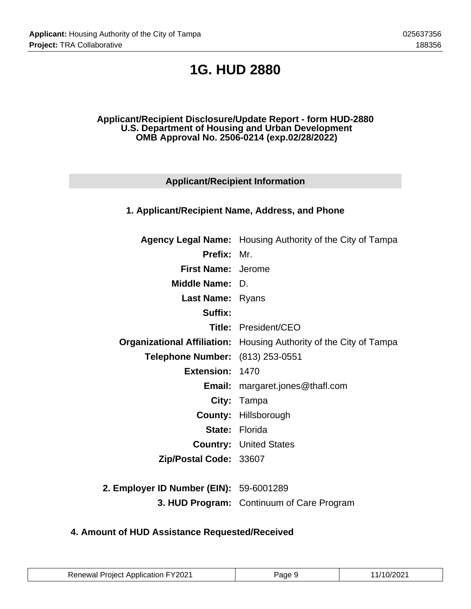# **1G. HUD 2880**

### **Applicant/Recipient Disclosure/Update Report - form HUD-2880 U.S. Department of Housing and Urban Development OMB Approval No. 2506-0214 (exp.02/28/2022)**

### **Applicant/Recipient Information**

### **1. Applicant/Recipient Name, Address, and Phone**

|                                         | <b>Agency Legal Name:</b> Housing Authority of the City of Tampa                                                                                                                                                                                                                                                   |
|-----------------------------------------|--------------------------------------------------------------------------------------------------------------------------------------------------------------------------------------------------------------------------------------------------------------------------------------------------------------------|
| <b>Prefix: Mr.</b>                      |                                                                                                                                                                                                                                                                                                                    |
| First Name: Jerome                      |                                                                                                                                                                                                                                                                                                                    |
| Middle Name: D.                         |                                                                                                                                                                                                                                                                                                                    |
| <b>Last Name: Ryans</b>                 |                                                                                                                                                                                                                                                                                                                    |
| Suffix:                                 |                                                                                                                                                                                                                                                                                                                    |
|                                         | <b>Title: President/CEO</b>                                                                                                                                                                                                                                                                                        |
|                                         | <b>Organizational Affiliation:</b> Housing Authority of the City of Tampa                                                                                                                                                                                                                                          |
| <b>Telephone Number:</b> (813) 253-0551 |                                                                                                                                                                                                                                                                                                                    |
| Extension: 1470                         |                                                                                                                                                                                                                                                                                                                    |
|                                         | <b>Email:</b> margaret.jones@thafl.com                                                                                                                                                                                                                                                                             |
|                                         | City: Tampa                                                                                                                                                                                                                                                                                                        |
|                                         | <b>County: Hillsborough</b>                                                                                                                                                                                                                                                                                        |
|                                         | <b>State: Florida</b>                                                                                                                                                                                                                                                                                              |
|                                         | <b>Country: United States</b>                                                                                                                                                                                                                                                                                      |
| Zip/Postal Code: 33607                  |                                                                                                                                                                                                                                                                                                                    |
|                                         |                                                                                                                                                                                                                                                                                                                    |
|                                         | $\sqrt{2}$ $\sqrt{2}$ $\sqrt{2}$ $\sqrt{2}$ $\sqrt{2}$ $\sqrt{2}$ $\sqrt{2}$ $\sqrt{2}$ $\sqrt{2}$ $\sqrt{2}$ $\sqrt{2}$ $\sqrt{2}$ $\sqrt{2}$ $\sqrt{2}$ $\sqrt{2}$ $\sqrt{2}$ $\sqrt{2}$ $\sqrt{2}$ $\sqrt{2}$ $\sqrt{2}$ $\sqrt{2}$ $\sqrt{2}$ $\sqrt{2}$ $\sqrt{2}$ $\sqrt{2}$ $\sqrt{2}$ $\sqrt{2}$ $\sqrt{2$ |

**2. Employer ID Number (EIN):** 59-6001289 **3. HUD Program:** Continuum of Care Program

### **4. Amount of HUD Assistance Requested/Received**

| <b>Renewal Project Application FY2021</b> | Page 9 | 11/10/2021 |
|-------------------------------------------|--------|------------|
|-------------------------------------------|--------|------------|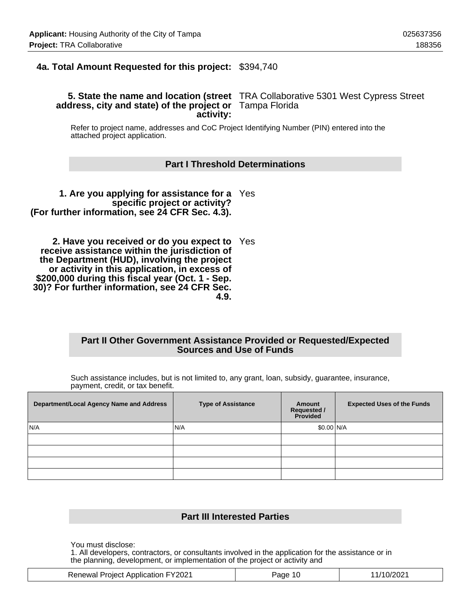### **4a. Total Amount Requested for this project:** \$394,740

#### **5. State the name and location (street** TRA Collaborative 5301 West Cypress Street **address, city and state) of the project or** Tampa Florida **activity:**

Refer to project name, addresses and CoC Project Identifying Number (PIN) entered into the attached project application.

#### **Part I Threshold Determinations**

**1. Are you applying for assistance for a** Yes **specific project or activity? (For further information, see 24 CFR Sec. 4.3).**

**2. Have you received or do you expect to** Yes **receive assistance within the jurisdiction of the Department (HUD), involving the project or activity in this application, in excess of \$200,000 during this fiscal year (Oct. 1 - Sep. 30)? For further information, see 24 CFR Sec. 4.9.**

#### **Part II Other Government Assistance Provided or Requested/Expected Sources and Use of Funds**

Such assistance includes, but is not limited to, any grant, loan, subsidy, guarantee, insurance, payment, credit, or tax benefit.

| Department/Local Agency Name and Address | <b>Type of Assistance</b> | Amount<br><b>Requested /</b><br><b>Provided</b> | <b>Expected Uses of the Funds</b> |
|------------------------------------------|---------------------------|-------------------------------------------------|-----------------------------------|
| N/A                                      | N/A                       | \$0.00 N/A                                      |                                   |
|                                          |                           |                                                 |                                   |
|                                          |                           |                                                 |                                   |
|                                          |                           |                                                 |                                   |
|                                          |                           |                                                 |                                   |

### **Part III Interested Parties**

You must disclose:

1. All developers, contractors, or consultants involved in the application for the assistance or in the planning, development, or implementation of the project or activity and

| <b>Renewal Project Application FY2021</b> | Page 10 | 11/10/2021 |
|-------------------------------------------|---------|------------|
|-------------------------------------------|---------|------------|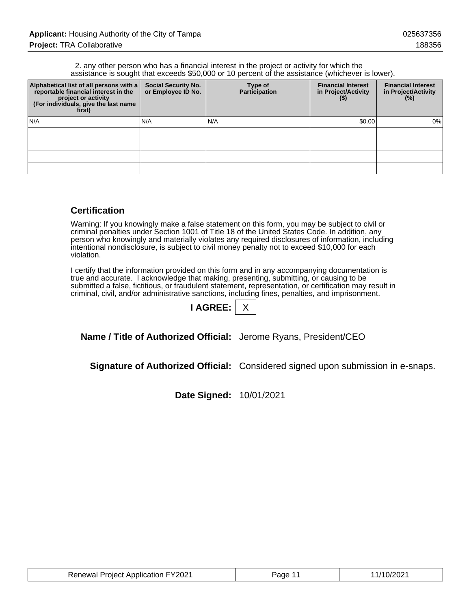2. any other person who has a financial interest in the project or activity for which the assistance is sought that exceeds \$50,000 or 10 percent of the assistance (whichever is lower).

| Alphabetical list of all persons with a<br>reportable financial interest in the<br>project or activity<br>(For individuals, give the last name<br>first) | <b>Social Security No.</b><br>or Employee ID No. | Type of<br>Participation | <b>Financial Interest</b><br>in Project/Activity<br>$($ \$) | <b>Financial Interest</b><br>in Project/Activity<br>(%) |
|----------------------------------------------------------------------------------------------------------------------------------------------------------|--------------------------------------------------|--------------------------|-------------------------------------------------------------|---------------------------------------------------------|
| N/A                                                                                                                                                      | N/A                                              | N/A                      | \$0.00                                                      | $0\%$                                                   |
|                                                                                                                                                          |                                                  |                          |                                                             |                                                         |
|                                                                                                                                                          |                                                  |                          |                                                             |                                                         |
|                                                                                                                                                          |                                                  |                          |                                                             |                                                         |
|                                                                                                                                                          |                                                  |                          |                                                             |                                                         |

### **Certification**

Warning: If you knowingly make a false statement on this form, you may be subject to civil or criminal penalties under Section 1001 of Title 18 of the United States Code. In addition, any person who knowingly and materially violates any required disclosures of information, including intentional nondisclosure, is subject to civil money penalty not to exceed \$10,000 for each violation.

I certify that the information provided on this form and in any accompanying documentation is true and accurate. I acknowledge that making, presenting, submitting, or causing to be submitted a false, fictitious, or fraudulent statement, representation, or certification may result in criminal, civil, and/or administrative sanctions, including fines, penalties, and imprisonment.

| <b>AGRE</b> |  |
|-------------|--|
|             |  |

**Name / Title of Authorized Official:** Jerome Ryans, President/CEO

**Signature of Authorized Official:** Considered signed upon submission in e-snaps.

**Date Signed:** 10/01/2021

| <b>Renewal Project Application FY2021</b> | Page 11 | 11/10/2021 |
|-------------------------------------------|---------|------------|
|-------------------------------------------|---------|------------|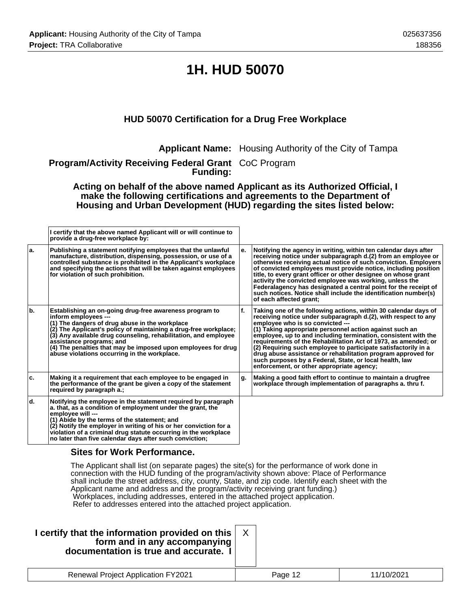# **1H. HUD 50070**

### **HUD 50070 Certification for a Drug Free Workplace**

**Applicant Name:** Housing Authority of the City of Tampa

**Program/Activity Receiving Federal Grant** CoC Program **Funding:**

**Acting on behalf of the above named Applicant as its Authorized Official, I make the following certifications and agreements to the Department of Housing and Urban Development (HUD) regarding the sites listed below:**

|     | I certify that the above named Applicant will or will continue to<br>provide a drug-free workplace by:                                                                                                                                                                                                                                                                                                                |    |                                                                                                                                                                                                                                                                                                                                                                                                                                                                                                                                                                                                                |
|-----|-----------------------------------------------------------------------------------------------------------------------------------------------------------------------------------------------------------------------------------------------------------------------------------------------------------------------------------------------------------------------------------------------------------------------|----|----------------------------------------------------------------------------------------------------------------------------------------------------------------------------------------------------------------------------------------------------------------------------------------------------------------------------------------------------------------------------------------------------------------------------------------------------------------------------------------------------------------------------------------------------------------------------------------------------------------|
| ۱a. | Publishing a statement notifying employees that the unlawful<br>manufacture, distribution, dispensing, possession, or use of a<br>controlled substance is prohibited in the Applicant's workplace<br>and specifying the actions that will be taken against employees<br>for violation of such prohibition.                                                                                                            | е. | Notifying the agency in writing, within ten calendar days after<br>receiving notice under subparagraph d.(2) from an employee or<br>otherwise receiving actual notice of such conviction. Employers<br>of convicted employees must provide notice, including position<br>title, to every grant officer or other designee on whose grant<br>activity the convicted employee was working, unless the<br>Federalagency has designated a central point for the receipt of<br>such notices. Notice shall include the identification number(s)<br>of each affected grant;                                            |
| ١b. | Establishing an on-going drug-free awareness program to<br>inform employees ---<br>(1) The dangers of drug abuse in the workplace<br>(2) The Applicant's policy of maintaining a drug-free workplace;<br>(3) Any available drug counseling, rehabilitation, and employee<br>assistance programs; and<br>(4) The penalties that may be imposed upon employees for drug<br>abuse violations occurring in the workplace. | f. | Taking one of the following actions, within 30 calendar days of<br>receiving notice under subparagraph d.(2), with respect to any<br>employee who is so convicted ---<br>(1) Taking appropriate personnel action against such an<br>employee, up to and including termination, consistent with the<br>requirements of the Rehabilitation Act of 1973, as amended; or<br>(2) Requiring such employee to participate satisfactorily in a<br>drug abuse assistance or rehabilitation program approved for<br>such purposes by a Federal, State, or local health, law<br>enforcement, or other appropriate agency; |
| ۱c. | Making it a requirement that each employee to be engaged in<br>the performance of the grant be given a copy of the statement<br>required by paragraph a.;                                                                                                                                                                                                                                                             | g. | Making a good faith effort to continue to maintain a drugfree<br>workplace through implementation of paragraphs a. thru f.                                                                                                                                                                                                                                                                                                                                                                                                                                                                                     |
| ld. | Notifying the employee in the statement required by paragraph<br>a. that, as a condition of employment under the grant, the<br>emplovee will ---<br>(1) Abide by the terms of the statement; and<br>(2) Notify the employer in writing of his or her conviction for a<br>violation of a criminal drug statute occurring in the workplace<br>no later than five calendar days after such conviction;                   |    |                                                                                                                                                                                                                                                                                                                                                                                                                                                                                                                                                                                                                |

### **Sites for Work Performance.**

The Applicant shall list (on separate pages) the site(s) for the performance of work done in connection with the HUD funding of the program/activity shown above: Place of Performance shall include the street address, city, county, State, and zip code. Identify each sheet with the Applicant name and address and the program/activity receiving grant funding.) Workplaces, including addresses, entered in the attached project application. Refer to addresses entered into the attached project application.

| I certify that the information provided on this<br>form and in any accompanying<br>documentation is true and accurate. I |         |            |
|--------------------------------------------------------------------------------------------------------------------------|---------|------------|
| <b>Renewal Project Application FY2021</b>                                                                                | Page 12 | 11/10/2021 |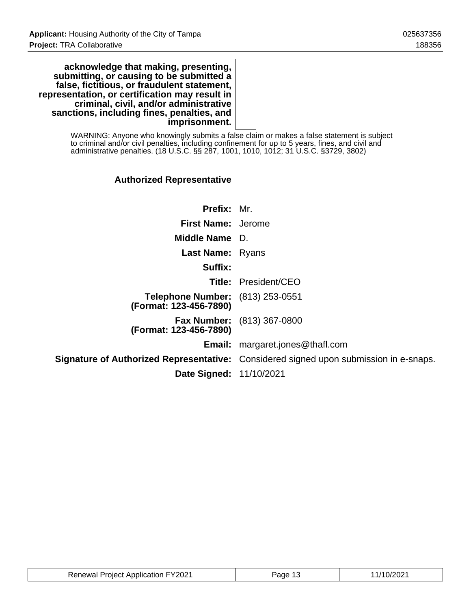**acknowledge that making, presenting, submitting, or causing to be submitted a false, fictitious, or fraudulent statement, representation, or certification may result in criminal, civil, and/or administrative sanctions, including fines, penalties, and imprisonment.**

> WARNING: Anyone who knowingly submits a false claim or makes a false statement is subject to criminal and/or civil penalties, including confinement for up to 5 years, fines, and civil and administrative penalties. (18 U.S.C. §§ 287, 1001, 1010, 1012; 31 U.S.C. §3729, 3802)

### **Authorized Representative**

| <b>Prefix: Mr.</b>                                                |                                                                                              |
|-------------------------------------------------------------------|----------------------------------------------------------------------------------------------|
| First Name: Jerome                                                |                                                                                              |
| Middle Name D.                                                    |                                                                                              |
| Last Name: Ryans                                                  |                                                                                              |
| Suffix:                                                           |                                                                                              |
|                                                                   | <b>Title: President/CEO</b>                                                                  |
| <b>Telephone Number:</b> (813) 253-0551<br>(Format: 123-456-7890) |                                                                                              |
| (Format: 123-456-7890)                                            | <b>Fax Number:</b> (813) 367-0800                                                            |
|                                                                   | <b>Email:</b> margaret.jones@thafl.com                                                       |
|                                                                   | <b>Signature of Authorized Representative:</b> Considered signed upon submission in e-snaps. |
| <b>Date Signed: 11/10/2021</b>                                    |                                                                                              |

| <b>Renewal Project Application FY2021</b> | age | 11/10/2021 |
|-------------------------------------------|-----|------------|
|-------------------------------------------|-----|------------|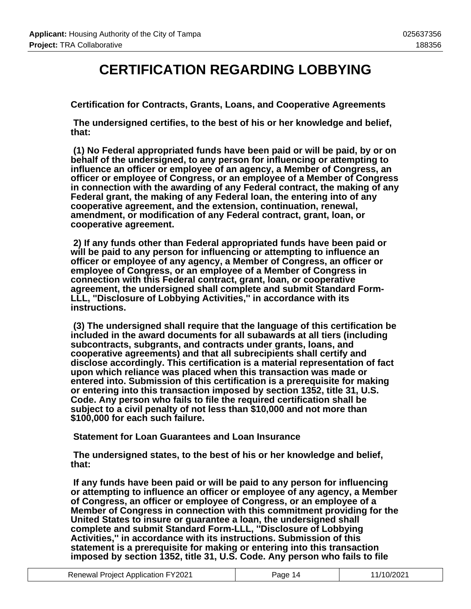## **CERTIFICATION REGARDING LOBBYING**

**Certification for Contracts, Grants, Loans, and Cooperative Agreements**

 **The undersigned certifies, to the best of his or her knowledge and belief, that:**

 **(1) No Federal appropriated funds have been paid or will be paid, by or on behalf of the undersigned, to any person for influencing or attempting to influence an officer or employee of an agency, a Member of Congress, an officer or employee of Congress, or an employee of a Member of Congress in connection with the awarding of any Federal contract, the making of any Federal grant, the making of any Federal loan, the entering into of any cooperative agreement, and the extension, continuation, renewal, amendment, or modification of any Federal contract, grant, loan, or cooperative agreement.**

 **2) If any funds other than Federal appropriated funds have been paid or will be paid to any person for influencing or attempting to influence an officer or employee of any agency, a Member of Congress, an officer or employee of Congress, or an employee of a Member of Congress in connection with this Federal contract, grant, loan, or cooperative agreement, the undersigned shall complete and submit Standard Form-LLL, ''Disclosure of Lobbying Activities,'' in accordance with its instructions.**

 **(3) The undersigned shall require that the language of this certification be included in the award documents for all subawards at all tiers (including subcontracts, subgrants, and contracts under grants, loans, and cooperative agreements) and that all subrecipients shall certify and disclose accordingly. This certification is a material representation of fact upon which reliance was placed when this transaction was made or entered into. Submission of this certification is a prerequisite for making or entering into this transaction imposed by section 1352, title 31, U.S. Code. Any person who fails to file the required certification shall be subject to a civil penalty of not less than \$10,000 and not more than \$100,000 for each such failure.**

 **Statement for Loan Guarantees and Loan Insurance**

 **The undersigned states, to the best of his or her knowledge and belief, that:**

 **If any funds have been paid or will be paid to any person for influencing or attempting to influence an officer or employee of any agency, a Member of Congress, an officer or employee of Congress, or an employee of a Member of Congress in connection with this commitment providing for the United States to insure or guarantee a loan, the undersigned shall complete and submit Standard Form-LLL, ''Disclosure of Lobbying Activities,'' in accordance with its instructions. Submission of this statement is a prerequisite for making or entering into this transaction imposed by section 1352, title 31, U.S. Code. Any person who fails to file**

| <b>Renewal Project Application FY2021</b> | Page 14 | 11/10/2021 |
|-------------------------------------------|---------|------------|
|-------------------------------------------|---------|------------|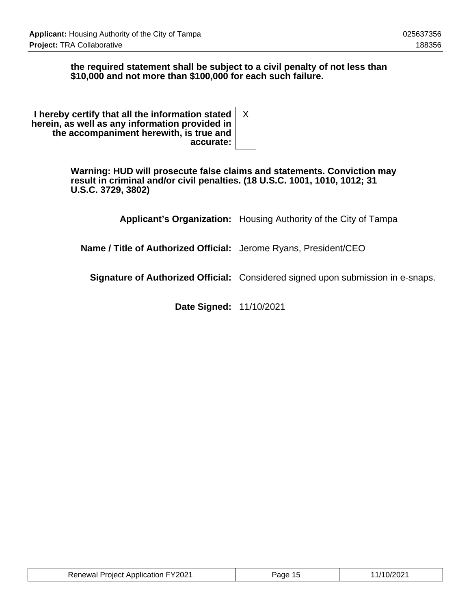### **the required statement shall be subject to a civil penalty of not less than \$10,000 and not more than \$100,000 for each such failure.**

**Warning: HUD will prosecute false claims and statements. Conviction may result in criminal and/or civil penalties. (18 U.S.C. 1001, 1010, 1012; 31 U.S.C. 3729, 3802)**

**Applicant's Organization:** Housing Authority of the City of Tampa

**Name / Title of Authorized Official:** Jerome Ryans, President/CEO

**Signature of Authorized Official:** Considered signed upon submission in e-snaps.

**Date Signed:** 11/10/2021

| <b>Renewal Project Application FY2021</b> | Page 15 | 11/10/2021 |
|-------------------------------------------|---------|------------|
|-------------------------------------------|---------|------------|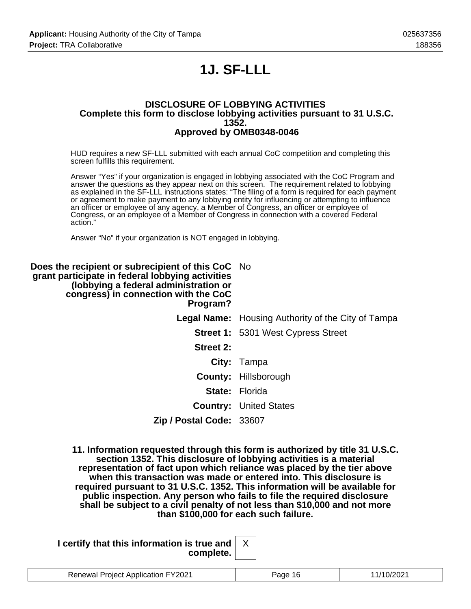# **1J. SF-LLL**

#### **DISCLOSURE OF LOBBYING ACTIVITIES Complete this form to disclose lobbying activities pursuant to 31 U.S.C. 1352. Approved by OMB0348-0046**

HUD requires a new SF-LLL submitted with each annual CoC competition and completing this screen fulfills this requirement.

Answer "Yes" if your organization is engaged in lobbying associated with the CoC Program and answer the questions as they appear next on this screen. The requirement related to lobbying as explained in the SF-LLL instructions states: "The filing of a form is required for each payment or agreement to make payment to any lobbying entity for influencing or attempting to influence an officer or employee of any agency, a Member of Congress, an officer or employee of Congress, or an employee of a Member of Congress in connection with a covered Federal action."

Answer "No" if your organization is NOT engaged in lobbying.

| Does the recipient or subrecipient of this CoC No<br>grant participate in federal lobbying activities<br>(lobbying a federal administration or<br>congress) in connection with the CoC<br>Program? |                                                           |
|----------------------------------------------------------------------------------------------------------------------------------------------------------------------------------------------------|-----------------------------------------------------------|
|                                                                                                                                                                                                    | <b>Legal Name:</b> Housing Authority of the City of Tampa |
|                                                                                                                                                                                                    | <b>Street 1: 5301 West Cypress Street</b>                 |
| Street 2:                                                                                                                                                                                          |                                                           |
|                                                                                                                                                                                                    | City: Tampa                                               |
|                                                                                                                                                                                                    | <b>County: Hillsborough</b>                               |
|                                                                                                                                                                                                    | <b>State: Florida</b>                                     |
|                                                                                                                                                                                                    | <b>Country: United States</b>                             |
| Zip / Postal Code: 33607                                                                                                                                                                           |                                                           |
|                                                                                                                                                                                                    |                                                           |

**11. Information requested through this form is authorized by title 31 U.S.C. section 1352. This disclosure of lobbying activities is a material representation of fact upon which reliance was placed by the tier above when this transaction was made or entered into. This disclosure is required pursuant to 31 U.S.C. 1352. This information will be available for public inspection. Any person who fails to file the required disclosure shall be subject to a civil penalty of not less than \$10,000 and not more than \$100,000 for each such failure.**

| I certify that this information is true and $\vert$ |  |
|-----------------------------------------------------|--|
| complete.                                           |  |

|  | FY2021<br>: Annlication .<br>Renewal<br><b>Project</b> | 'ane | w |
|--|--------------------------------------------------------|------|---|
|--|--------------------------------------------------------|------|---|

X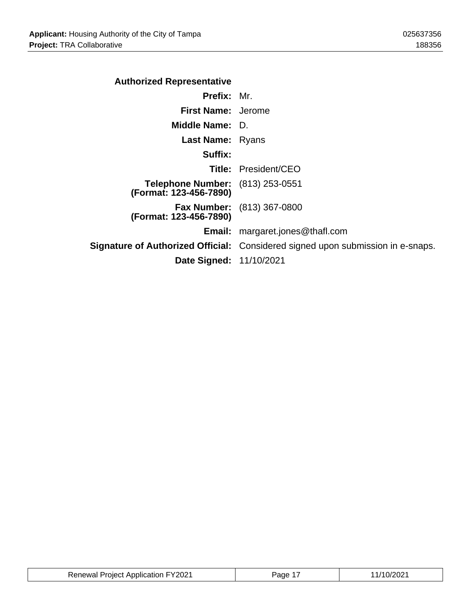| <b>Prefix: Mr.</b>                                                              |
|---------------------------------------------------------------------------------|
| <b>First Name: Jerome</b>                                                       |
| Middle Name: D.                                                                 |
| <b>Last Name:</b> Ryans                                                         |
|                                                                                 |
| <b>Title: President/CEO</b>                                                     |
| <b>Telephone Number:</b> (813) 253-0551                                         |
| <b>Fax Number:</b> (813) 367-0800                                               |
| <b>Email:</b> margaret.jones@thafl.com                                          |
| Signature of Authorized Official: Considered signed upon submission in e-snaps. |
| <b>Date Signed: 11/10/2021</b>                                                  |
|                                                                                 |

| <b>Renewal Project Application FY2021</b> |  | /10/202 |
|-------------------------------------------|--|---------|
|-------------------------------------------|--|---------|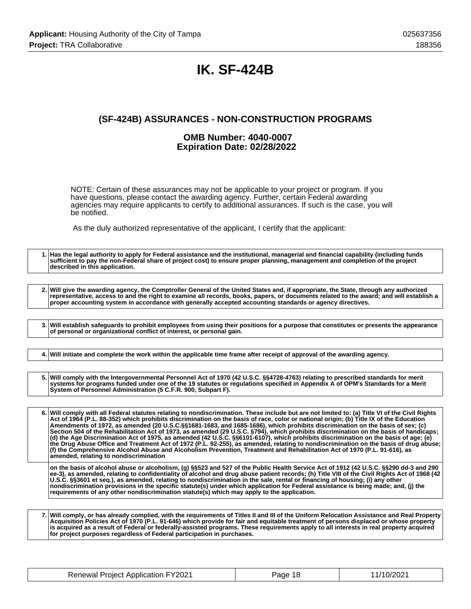# **IK. SF-424B**

### **(SF-424B) ASSURANCES - NON-CONSTRUCTION PROGRAMS**

#### **OMB Number: 4040-0007 Expiration Date: 02/28/2022**

NOTE: Certain of these assurances may not be applicable to your project or program. If you have questions, please contact the awarding agency. Further, certain Federal awarding agencies may require applicants to certify to additional assurances. If such is the case, you will be notified.

As the duly authorized representative of the applicant, I certify that the applicant:

**1. Has the legal authority to apply for Federal assistance and the institutional, managerial and financial capability (including funds sufficient to pay the non-Federal share of project cost) to ensure proper planning, management and completion of the project described in this application. 2. Will give the awarding agency, the Comptroller General of the United States and, if appropriate, the State, through any authorized representative, access to and the right to examine all records, books, papers, or documents related to the award; and will establish a proper accounting system in accordance with generally accepted accounting standards or agency directives. 3. Will establish safeguards to prohibit employees from using their positions for a purpose that constitutes or presents the appearance of personal or organizational conflict of interest, or personal gain. 4. Will initiate and complete the work within the applicable time frame after receipt of approval of the awarding agency. 5. Will comply with the Intergovernmental Personnel Act of 1970 (42 U.S.C. §§4728-4763) relating to prescribed standards for merit systems for programs funded under one of the 19 statutes or regulations specified in Appendix A of OPM's Standards for a Merit System of Personnel Administration (5 C.F.R. 900, Subpart F). 6. Will comply with all Federal statutes relating to nondiscrimination. These include but are not limited to: (a) Title VI of the Civil Rights Act of 1964 (P.L. 88-352) which prohibits discrimination on the basis of race, color or national origin; (b) Title IX of the Education Amendments of 1972, as amended (20 U.S.C.§§1681-1683, and 1685-1686), which prohibits discrimination on the basis of sex; (c) Section 504 of the Rehabilitation Act of 1973, as amended (29 U.S.C. §794), which prohibits discrimination on the basis of handicaps; (d) the Age Discrimination Act of 1975, as amended (42 U.S.C. §§6101-6107), which prohibits discrimination on the basis of age; (e) the Drug Abuse Office and Treatment Act of 1972 (P.L. 92-255), as amended, relating to nondiscrimination on the basis of drug abuse; (f) the Comprehensive Alcohol Abuse and Alcoholism Prevention, Treatment and Rehabilitation Act of 1970 (P.L. 91-616), as amended, relating to nondiscrimination on the basis of alcohol abuse or alcoholism, (g) §§523 and 527 of the Public Health Service Act of 1912 (42 U.S.C. §§290 dd-3 and 290 ee-3), as amended, relating to confidentiality of alcohol and drug abuse patient records; (h) Title VIII of the Civil Rights Act of 1968 (42 U.S.C. §§3601 et seq.), as amended, relating to nondiscrimination in the sale, rental or financing of housing; (i) any other nondiscrimination provisions in the specific statute(s) under which application for Federal assistance is being made; and, (j) the requirements of any other nondiscrimination statute(s) which may apply to the application.**

**7. Will comply, or has already complied, with the requirements of Titles II and III of the Uniform Relocation Assistance and Real Property Acquisition Policies Act of 1970 (P.L. 91-646) which provide for fair and equitable treatment of persons displaced or whose property is acquired as a result of Federal or federally-assisted programs. These requirements apply to all interests in real property acquired for project purposes regardless of Federal participation in purchases.**

| <b>Renewal Project Application FY2021</b> | Page 18 | 11/10/2021 |
|-------------------------------------------|---------|------------|
|-------------------------------------------|---------|------------|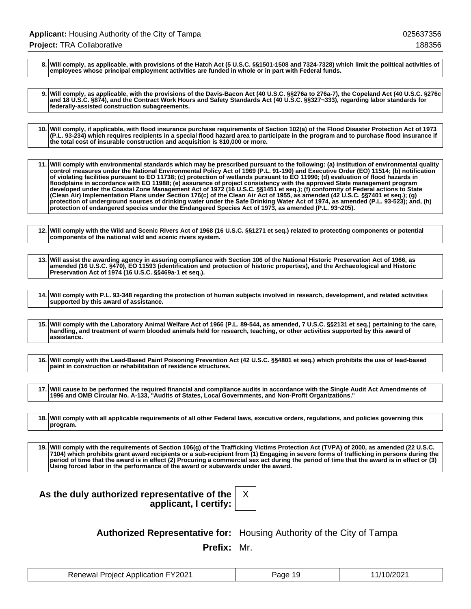**8. Will comply, as applicable, with provisions of the Hatch Act (5 U.S.C. §§1501-1508 and 7324-7328) which limit the political activities of employees whose principal employment activities are funded in whole or in part with Federal funds.**

**9. Will comply, as applicable, with the provisions of the Davis-Bacon Act (40 U.S.C. §§276a to 276a-7), the Copeland Act (40 U.S.C. §276c and 18 U.S.C. §874), and the Contract Work Hours and Safety Standards Act (40 U.S.C. §§327¬333), regarding labor standards for federally-assisted construction subagreements.**

**10. Will comply, if applicable, with flood insurance purchase requirements of Section 102(a) of the Flood Disaster Protection Act of 1973 (P.L. 93-234) which requires recipients in a special flood hazard area to participate in the program and to purchase flood insurance if the total cost of insurable construction and acquisition is \$10,000 or more.**

**11. Will comply with environmental standards which may be prescribed pursuant to the following: (a) institution of environmental quality control measures under the National Environmental Policy Act of 1969 (P.L. 91-190) and Executive Order (EO) 11514; (b) notification of violating facilities pursuant to EO 11738; (c) protection of wetlands pursuant to EO 11990; (d) evaluation of flood hazards in floodplains in accordance with EO 11988; (e) assurance of project consistency with the approved State management program developed under the Coastal Zone Management Act of 1972 (16 U.S.C. §§1451 et seq.); (f) conformity of Federal actions to State (Clean Air) Implementation Plans under Section 176(c) of the Clean Air Act of 1955, as amended (42 U.S.C. §§7401 et seq.); (g) protection of underground sources of drinking water under the Safe Drinking Water Act of 1974, as amended (P.L. 93-523); and, (h) protection of endangered species under the Endangered Species Act of 1973, as amended (P.L. 93¬205).**

**12. Will comply with the Wild and Scenic Rivers Act of 1968 (16 U.S.C. §§1271 et seq.) related to protecting components or potential components of the national wild and scenic rivers system.**

**13. Will assist the awarding agency in assuring compliance with Section 106 of the National Historic Preservation Act of 1966, as amended (16 U.S.C. §470), EO 11593 (identification and protection of historic properties), and the Archaeological and Historic Preservation Act of 1974 (16 U.S.C. §§469a-1 et seq.).**

**14. Will comply with P.L. 93-348 regarding the protection of human subjects involved in research, development, and related activities supported by this award of assistance.**

**15. Will comply with the Laboratory Animal Welfare Act of 1966 (P.L. 89-544, as amended, 7 U.S.C. §§2131 et seq.) pertaining to the care, handling, and treatment of warm blooded animals held for research, teaching, or other activities supported by this award of assistance.**

**16. Will comply with the Lead-Based Paint Poisoning Prevention Act (42 U.S.C. §§4801 et seq.) which prohibits the use of lead-based paint in construction or rehabilitation of residence structures.**

**17. Will cause to be performed the required financial and compliance audits in accordance with the Single Audit Act Amendments of 1996 and OMB Circular No. A-133, "Audits of States, Local Governments, and Non-Profit Organizations."**

**18. Will comply with all applicable requirements of all other Federal laws, executive orders, regulations, and policies governing this program.**

**19. Will comply with the requirements of Section 106(g) of the Trafficking Victims Protection Act (TVPA) of 2000, as amended (22 U.S.C. 7104) which prohibits grant award recipients or a sub-recipient from (1) Engaging in severe forms of trafficking in persons during the period of time that the award is in effect (2) Procuring a commercial sex act during the period of time that the award is in effect or (3) Using forced labor in the performance of the award or subawards under the award.**

### **As the duly authorized representative of the applicant, I certify:**

X

**Authorized Representative for:** Housing Authority of the City of Tampa

**Prefix:** Mr.

| <b>Renewal Project Application FY2021</b> | Page 19 | 11/10/2021 |
|-------------------------------------------|---------|------------|
|-------------------------------------------|---------|------------|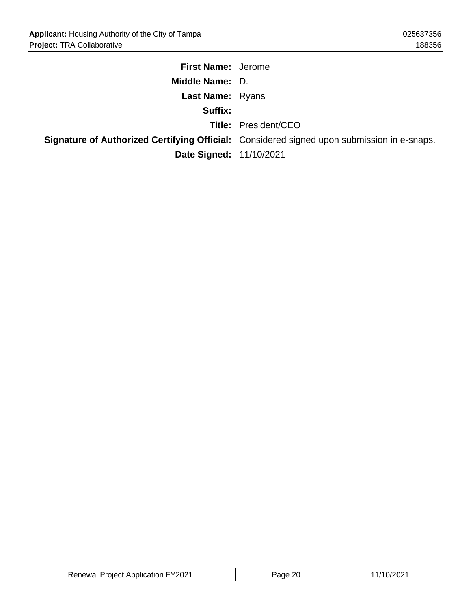| <b>First Name: Jerome</b> |                                                                                                   |
|---------------------------|---------------------------------------------------------------------------------------------------|
| Middle Name: D.           |                                                                                                   |
| <b>Last Name:</b> Ryans   |                                                                                                   |
| Suffix:                   |                                                                                                   |
|                           | <b>Title: President/CEO</b>                                                                       |
|                           | <b>Signature of Authorized Certifying Official:</b> Considered signed upon submission in e-snaps. |
| Date Signed: 11/10/2021   |                                                                                                   |

| Renewal Project Application FY2021 | 'age 20 | /10/2021 |
|------------------------------------|---------|----------|
|------------------------------------|---------|----------|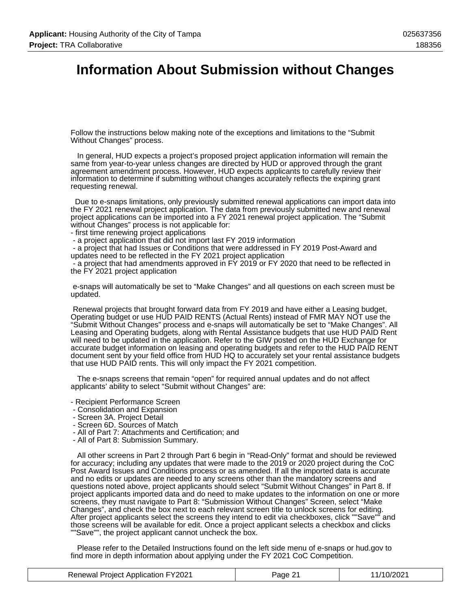### **Information About Submission without Changes**

Follow the instructions below making note of the exceptions and limitations to the "Submit Without Changes" process.

 In general, HUD expects a project's proposed project application information will remain the same from year-to-year unless changes are directed by HUD or approved through the grant agreement amendment process. However, HUD expects applicants to carefully review their information to determine if submitting without changes accurately reflects the expiring grant requesting renewal.

 Due to e-snaps limitations, only previously submitted renewal applications can import data into the FY 2021 renewal project application. The data from previously submitted new and renewal project applications can be imported into a FY 2021 renewal project application. The "Submit without Changes" process is not applicable for:

- first time renewing project applications
- a project application that did not import last FY 2019 information

 - a project that had Issues or Conditions that were addressed in FY 2019 Post-Award and updates need to be reflected in the FY 2021 project application

 - a project that had amendments approved in FY 2019 or FY 2020 that need to be reflected in the FY 2021 project application

 e-snaps will automatically be set to "Make Changes" and all questions on each screen must be updated.

 Renewal projects that brought forward data from FY 2019 and have either a Leasing budget, Operating budget or use HUD PAID RENTS (Actual Rents) instead of FMR MAY NOT use the "Submit Without Changes" process and e-snaps will automatically be set to "Make Changes". All Leasing and Operating budgets, along with Rental Assistance budgets that use HUD PAID Rent will need to be updated in the application. Refer to the GIW posted on the HUD Exchange for accurate budget information on leasing and operating budgets and refer to the HUD PAID RENT document sent by your field office from HUD HQ to accurately set your rental assistance budgets that use HUD PAID rents. This will only impact the FY 2021 competition.

 The e-snaps screens that remain "open" for required annual updates and do not affect applicants' ability to select "Submit without Changes" are:

- Recipient Performance Screen
- Consolidation and Expansion
- Screen 3A. Project Detail
- Screen 6D. Sources of Match
- All of Part 7: Attachments and Certification; and
- All of Part 8: Submission Summary.

 All other screens in Part 2 through Part 6 begin in "Read-Only" format and should be reviewed for accuracy; including any updates that were made to the 2019 or 2020 project during the CoC Post Award Issues and Conditions process or as amended. If all the imported data is accurate and no edits or updates are needed to any screens other than the mandatory screens and questions noted above, project applicants should select "Submit Without Changes" in Part 8. If project applicants imported data and do need to make updates to the information on one or more screens, they must navigate to Part 8: "Submission Without Changes" Screen, select "Make Changes", and check the box next to each relevant screen title to unlock screens for editing. After project applicants select the screens they intend to edit via checkboxes, click ""Save"" and those screens will be available for edit. Once a project applicant selects a checkbox and clicks ""Save"", the project applicant cannot uncheck the box.

 Please refer to the Detailed Instructions found on the left side menu of e-snaps or hud.gov to find more in depth information about applying under the FY 2021 CoC Competition.

| <b>Renewal Project Application FY2021</b> | Page 21 | 11/10/2021 |
|-------------------------------------------|---------|------------|
|-------------------------------------------|---------|------------|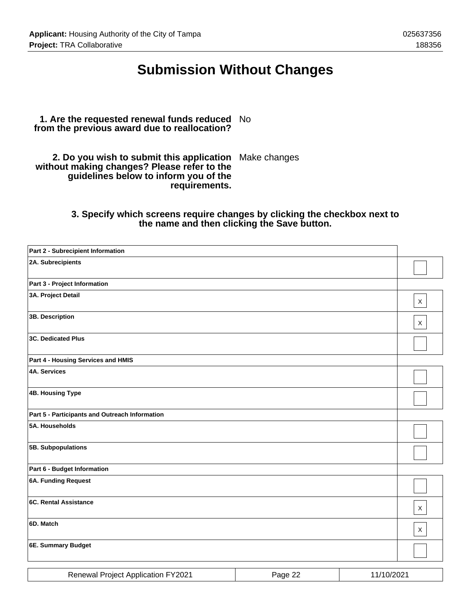# **Submission Without Changes**

#### **1. Are the requested renewal funds reduced** No **from the previous award due to reallocation?**

**2. Do you wish to submit this application** Make changes **without making changes? Please refer to the guidelines below to inform you of the requirements.**

#### **3. Specify which screens require changes by clicking the checkbox next to the name and then clicking the Save button.**

| Part 2 - Subrecipient Information              |         |            |              |
|------------------------------------------------|---------|------------|--------------|
| 2A. Subrecipients                              |         |            |              |
| Part 3 - Project Information                   |         |            |              |
| 3A. Project Detail                             |         |            | $\mathsf X$  |
| 3B. Description                                |         |            | $\times$     |
| <b>3C. Dedicated Plus</b>                      |         |            |              |
| Part 4 - Housing Services and HMIS             |         |            |              |
| <b>4A. Services</b>                            |         |            |              |
| <b>4B. Housing Type</b>                        |         |            |              |
| Part 5 - Participants and Outreach Information |         |            |              |
| 5A. Households                                 |         |            |              |
| 5B. Subpopulations                             |         |            |              |
| Part 6 - Budget Information                    |         |            |              |
| <b>6A. Funding Request</b>                     |         |            |              |
| 6C. Rental Assistance                          |         |            | $\mathsf{X}$ |
| 6D. Match                                      |         |            | $\mathsf{X}$ |
| 6E. Summary Budget                             |         |            |              |
| <b>Renewal Project Application FY2021</b>      | Page 22 | 11/10/2021 |              |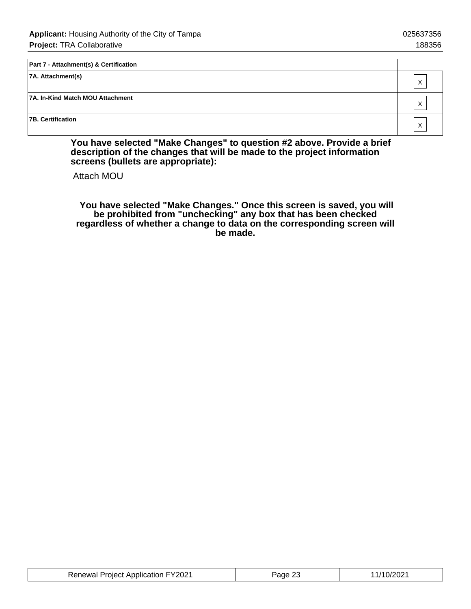| <b>Part 7 - Attachment(s) &amp; Certification</b> |   |
|---------------------------------------------------|---|
| 7A. Attachment(s)                                 | X |
| 7A. In-Kind Match MOU Attachment                  | X |
| 7B. Certification                                 | X |

**You have selected "Make Changes" to question #2 above. Provide a brief description of the changes that will be made to the project information screens (bullets are appropriate):**

Attach MOU

 **You have selected "Make Changes." Once this screen is saved, you will be prohibited from "unchecking" any box that has been checked regardless of whether a change to data on the corresponding screen will be made.**

| <b>Renewal Project Application FY2021</b> | Page 2J | 11/10/2021 |
|-------------------------------------------|---------|------------|
|-------------------------------------------|---------|------------|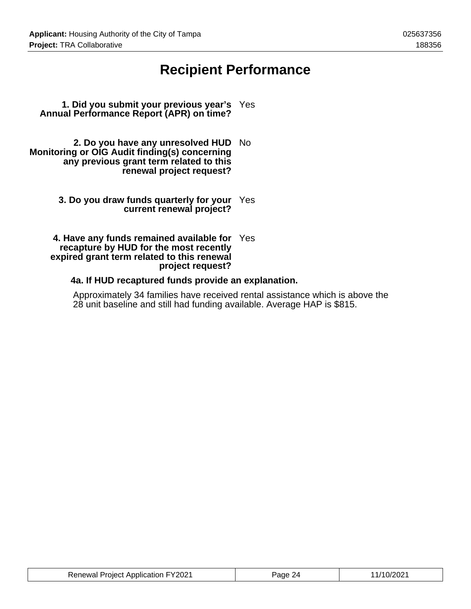### **Recipient Performance**

- **1. Did you submit your previous year's** Yes **Annual Performance Report (APR) on time?**
- **2. Do you have any unresolved HUD** No **Monitoring or OIG Audit finding(s) concerning any previous grant term related to this renewal project request?**
	- **3. Do you draw funds quarterly for your** Yes **current renewal project?**

#### **4. Have any funds remained available for** Yes **recapture by HUD for the most recently expired grant term related to this renewal project request?**

### **4a. If HUD recaptured funds provide an explanation.**

Approximately 34 families have received rental assistance which is above the 28 unit baseline and still had funding available. Average HAP is \$815.

| Renewal Project Application FY2021 | Page 24 | 11/10/2021 |
|------------------------------------|---------|------------|
|------------------------------------|---------|------------|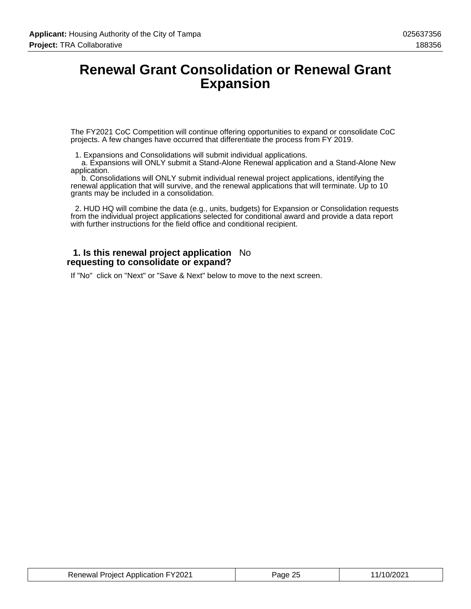### **Renewal Grant Consolidation or Renewal Grant Expansion**

The FY2021 CoC Competition will continue offering opportunities to expand or consolidate CoC projects. A few changes have occurred that differentiate the process from FY 2019.

1. Expansions and Consolidations will submit individual applications.

 a. Expansions will ONLY submit a Stand-Alone Renewal application and a Stand-Alone New application.

 b. Consolidations will ONLY submit individual renewal project applications, identifying the renewal application that will survive, and the renewal applications that will terminate. Up to 10 grants may be included in a consolidation.

 2. HUD HQ will combine the data (e.g., units, budgets) for Expansion or Consolidation requests from the individual project applications selected for conditional award and provide a data report with further instructions for the field office and conditional recipient.

#### **1. Is this renewal project application** No **requesting to consolidate or expand?**

If "No" click on "Next" or "Save & Next" below to move to the next screen.

| <b>Renewal Project Application FY2021</b> | Page 25 | 11/10/2021 |
|-------------------------------------------|---------|------------|
|-------------------------------------------|---------|------------|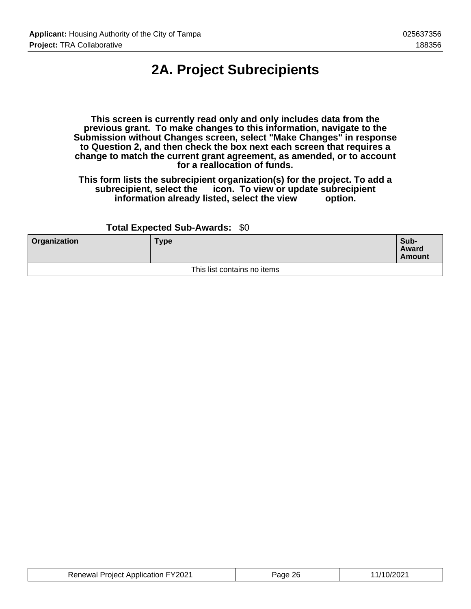# **2A. Project Subrecipients**

**This screen is currently read only and only includes data from the previous grant. To make changes to this information, navigate to the Submission without Changes screen, select "Make Changes" in response to Question 2, and then check the box next each screen that requires a change to match the current grant agreement, as amended, or to account for a reallocation of funds.**

**This form lists the subrecipient organization(s) for the project. To add a subrecipient, select the icon. To view or update subrecipient** information already listed, select the view

|  |  | <b>Total Expected Sub-Awards: \$0</b> |  |
|--|--|---------------------------------------|--|
|--|--|---------------------------------------|--|

| <b>Organization</b> | <b>Type</b>                 | Sub-<br>Award<br><b>Amount</b> |
|---------------------|-----------------------------|--------------------------------|
|                     | This list contains no items |                                |

| <b>Renewal Project Application FY2021</b> | Page 26 | 11/10/2021 |
|-------------------------------------------|---------|------------|
|-------------------------------------------|---------|------------|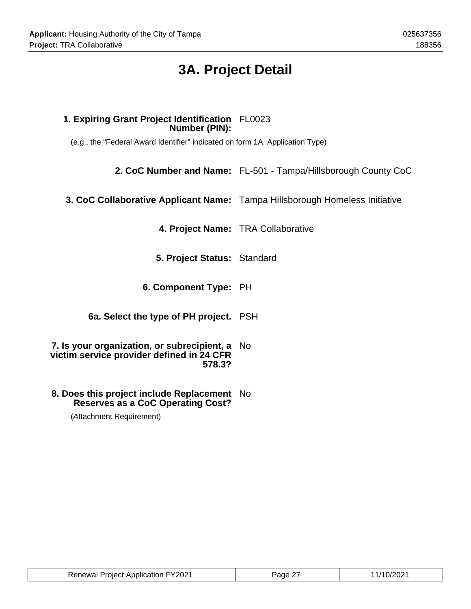# **3A. Project Detail**

### **1. Expiring Grant Project Identification** FL0023 **Number (PIN):**

(e.g., the "Federal Award Identifier" indicated on form 1A. Application Type)

**2. CoC Number and Name:** FL-501 - Tampa/Hillsborough County CoC

**3. CoC Collaborative Applicant Name:** Tampa Hillsborough Homeless Initiative

**4. Project Name:** TRA Collaborative

**5. Project Status:** Standard

**6. Component Type:** PH

**6a. Select the type of PH project.** PSH

**7. Is your organization, or subrecipient, a** No **victim service provider defined in 24 CFR 578.3?**

### **8. Does this project include Replacement** No **Reserves as a CoC Operating Cost?**

(Attachment Requirement)

| <b>Renewal Project Application FY2021</b> | Page 27 | 11/10/2021 |
|-------------------------------------------|---------|------------|
|-------------------------------------------|---------|------------|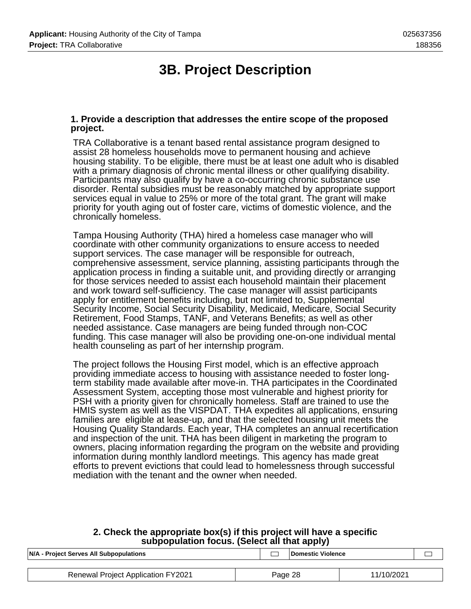# **3B. Project Description**

### **1. Provide a description that addresses the entire scope of the proposed project.**

TRA Collaborative is a tenant based rental assistance program designed to assist 28 homeless households move to permanent housing and achieve housing stability. To be eligible, there must be at least one adult who is disabled with a primary diagnosis of chronic mental illness or other qualifying disability. Participants may also qualify by have a co-occurring chronic substance use disorder. Rental subsidies must be reasonably matched by appropriate support services equal in value to 25% or more of the total grant. The grant will make priority for youth aging out of foster care, victims of domestic violence, and the chronically homeless.

Tampa Housing Authority (THA) hired a homeless case manager who will coordinate with other community organizations to ensure access to needed support services. The case manager will be responsible for outreach, comprehensive assessment, service planning, assisting participants through the application process in finding a suitable unit, and providing directly or arranging for those services needed to assist each household maintain their placement and work toward self-sufficiency. The case manager will assist participants apply for entitlement benefits including, but not limited to, Supplemental Security Income, Social Security Disability, Medicaid, Medicare, Social Security Retirement, Food Stamps, TANF, and Veterans Benefits; as well as other needed assistance. Case managers are being funded through non-COC funding. This case manager will also be providing one-on-one individual mental health counseling as part of her internship program.

The project follows the Housing First model, which is an effective approach providing immediate access to housing with assistance needed to foster longterm stability made available after move-in. THA participates in the Coordinated Assessment System, accepting those most vulnerable and highest priority for PSH with a priority given for chronically homeless. Staff are trained to use the HMIS system as well as the VISPDAT. THA expedites all applications, ensuring families are eligible at lease-up, and that the selected housing unit meets the Housing Quality Standards. Each year, THA completes an annual recertification and inspection of the unit. THA has been diligent in marketing the program to owners, placing information regarding the program on the website and providing information during monthly landlord meetings. This agency has made great efforts to prevent evictions that could lead to homelessness through successful mediation with the tenant and the owner when needed.

#### **2. Check the appropriate box(s) if this project will have a specific subpopulation focus. (Select all that apply)**

| <b>N/A - Project Serves All Subpopulations</b> |  |           | Domestic Violence |         |  |
|------------------------------------------------|--|-----------|-------------------|---------|--|
|                                                |  |           |                   |         |  |
| <b>Renewal Project Application FY2021</b>      |  | Page $28$ |                   | 10/2021 |  |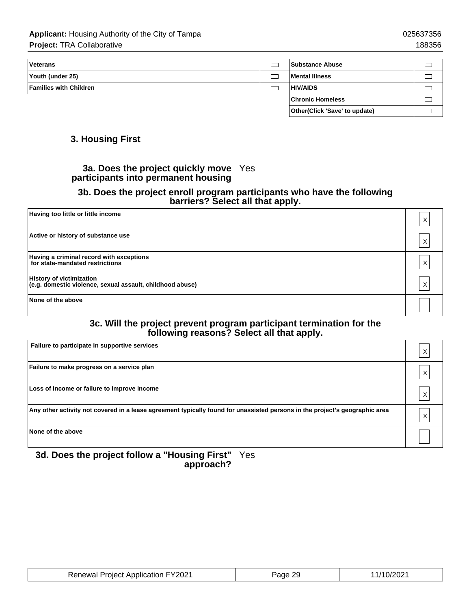| <b>Veterans</b>        | <b>Substance Abuse</b>        |  |
|------------------------|-------------------------------|--|
| Youth (under 25)       | Mental Illness                |  |
| Families with Children | <b>HIV/AIDS</b>               |  |
|                        | <b>Chronic Homeless</b>       |  |
|                        | Other(Click 'Save' to update) |  |

### **3. Housing First**

#### **3a. Does the project quickly move participants into permanent housing** Yes

### **3b. Does the project enroll program participants who have the following barriers? Select all that apply.**

| Having too little or little income                                                           | Χ |
|----------------------------------------------------------------------------------------------|---|
| Active or history of substance use                                                           | X |
| Having a criminal record with exceptions<br>for state-mandated restrictions                  | X |
| <b>History of victimization</b><br>(e.g. domestic violence, sexual assault, childhood abuse) | Χ |
| None of the above                                                                            |   |

### **3c. Will the project prevent program participant termination for the following reasons? Select all that apply.**

| Failure to participate in supportive services                                                                               | X |
|-----------------------------------------------------------------------------------------------------------------------------|---|
| Failure to make progress on a service plan                                                                                  | X |
| Loss of income or failure to improve income                                                                                 | X |
| Any other activity not covered in a lease agreement typically found for unassisted persons in the project's geographic area | X |
| None of the above                                                                                                           |   |

#### **3d. Does the project follow a "Housing First"** Yes **approach?**

| <b>Renewal Project Application FY2021</b> | ററ<br>'ane 29 | `∪/∠∪∠ |
|-------------------------------------------|---------------|--------|
|-------------------------------------------|---------------|--------|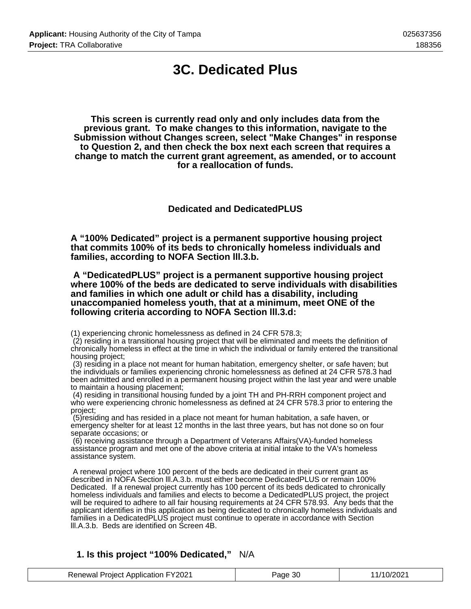# **3C. Dedicated Plus**

**This screen is currently read only and only includes data from the previous grant. To make changes to this information, navigate to the Submission without Changes screen, select "Make Changes" in response to Question 2, and then check the box next each screen that requires a change to match the current grant agreement, as amended, or to account for a reallocation of funds.**

**Dedicated and DedicatedPLUS**

**A "100% Dedicated" project is a permanent supportive housing project that commits 100% of its beds to chronically homeless individuals and families, according to NOFA Section lll.3.b.**

 **A "DedicatedPLUS" project is a permanent supportive housing project where 100% of the beds are dedicated to serve individuals with disabilities and families in which one adult or child has a disability, including unaccompanied homeless youth, that at a minimum, meet ONE of the following criteria according to NOFA Section lll.3.d:**

(1) experiencing chronic homelessness as defined in 24 CFR 578.3;

 (2) residing in a transitional housing project that will be eliminated and meets the definition of chronically homeless in effect at the time in which the individual or family entered the transitional housing project;

 (3) residing in a place not meant for human habitation, emergency shelter, or safe haven; but the individuals or families experiencing chronic homelessness as defined at 24 CFR 578.3 had been admitted and enrolled in a permanent housing project within the last year and were unable to maintain a housing placement;

 (4) residing in transitional housing funded by a joint TH and PH-RRH component project and who were experiencing chronic homelessness as defined at 24 CFR 578.3 prior to entering the project;

 (5)residing and has resided in a place not meant for human habitation, a safe haven, or emergency shelter for at least 12 months in the last three years, but has not done so on four separate occasions; or

 (6) receiving assistance through a Department of Veterans Affairs(VA)-funded homeless assistance program and met one of the above criteria at initial intake to the VA's homeless assistance system.

 A renewal project where 100 percent of the beds are dedicated in their current grant as described in NOFA Section lll.A.3.b. must either become DedicatedPLUS or remain 100% Dedicated. If a renewal project currently has 100 percent of its beds dedicated to chronically homeless individuals and families and elects to become a DedicatedPLUS project, the project will be required to adhere to all fair housing requirements at 24 CFR 578.93. Any beds that the applicant identifies in this application as being dedicated to chronically homeless individuals and families in a DedicatedPLUS project must continue to operate in accordance with Section lll.A.3.b. Beds are identified on Screen 4B.

### **1. Is this project "100% Dedicated,"** N/A

| <b>Renewal Project Application FY2021</b> | Page 30 | 11/10/2021 |
|-------------------------------------------|---------|------------|
|-------------------------------------------|---------|------------|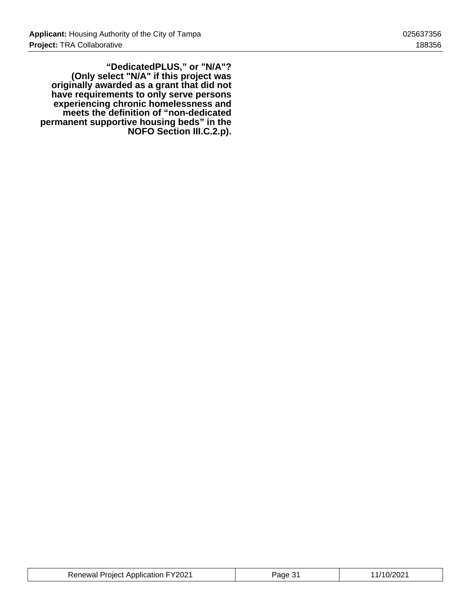**"DedicatedPLUS," or "N/A"? (Only select "N/A" if this project was originally awarded as a grant that did not have requirements to only serve persons experiencing chronic homelessness and meets the definition of "non-dedicated permanent supportive housing beds" in the NOFO Section III.C.2.p).**

| <b>Renewal Project Application FY2021</b> | Page 31 | 1/10/2021 |
|-------------------------------------------|---------|-----------|
|-------------------------------------------|---------|-----------|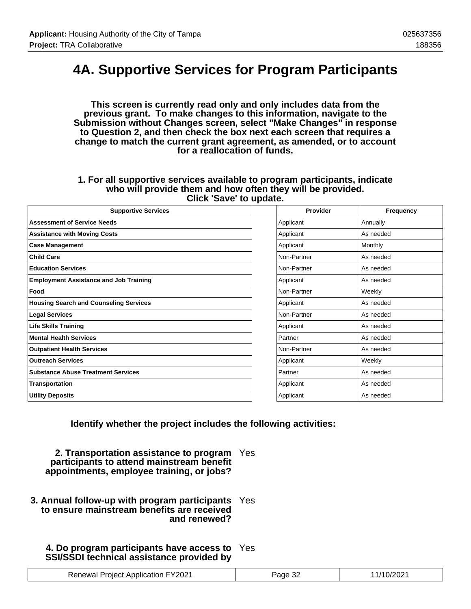# **4A. Supportive Services for Program Participants**

**This screen is currently read only and only includes data from the previous grant. To make changes to this information, navigate to the Submission without Changes screen, select "Make Changes" in response to Question 2, and then check the box next each screen that requires a change to match the current grant agreement, as amended, or to account for a reallocation of funds.**

#### **1. For all supportive services available to program participants, indicate who will provide them and how often they will be provided. Click 'Save' to update.**

| <b>Supportive Services</b>                    | Provider    | Frequency |
|-----------------------------------------------|-------------|-----------|
| <b>Assessment of Service Needs</b>            | Applicant   | Annually  |
| <b>Assistance with Moving Costs</b>           | Applicant   | As needed |
| <b>Case Management</b>                        | Applicant   | Monthly   |
| <b>Child Care</b>                             | Non-Partner | As needed |
| <b>Education Services</b>                     | Non-Partner | As needed |
| <b>Employment Assistance and Job Training</b> | Applicant   | As needed |
| Food                                          | Non-Partner | Weekly    |
| <b>Housing Search and Counseling Services</b> | Applicant   | As needed |
| <b>Legal Services</b>                         | Non-Partner | As needed |
| <b>Life Skills Training</b>                   | Applicant   | As needed |
| <b>Mental Health Services</b>                 | Partner     | As needed |
| <b>Outpatient Health Services</b>             | Non-Partner | As needed |
| <b>Outreach Services</b>                      | Applicant   | Weekly    |
| <b>Substance Abuse Treatment Services</b>     | Partner     | As needed |
| Transportation                                | Applicant   | As needed |
| <b>Utility Deposits</b>                       | Applicant   | As needed |

**Identify whether the project includes the following activities:**

**2. Transportation assistance to program** Yes **participants to attend mainstream benefit appointments, employee training, or jobs?**

**3. Annual follow-up with program participants** Yes **to ensure mainstream benefits are received and renewed?**

### **4. Do program participants have access to** Yes **SSI/SSDI technical assistance provided by**

| <b>Renewal Project Application FY2021</b> | Page 32 | 11/10/2021 |
|-------------------------------------------|---------|------------|
|-------------------------------------------|---------|------------|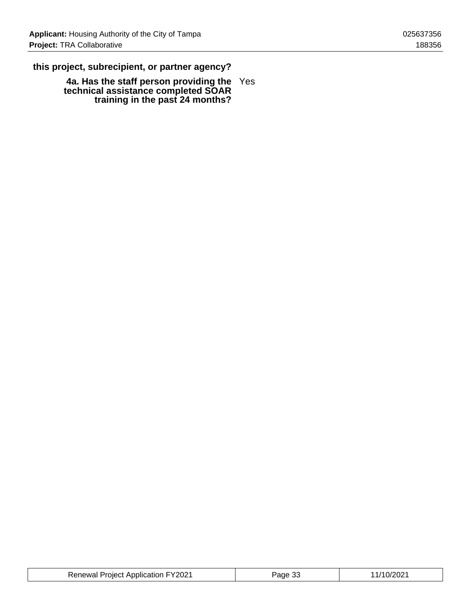### **this project, subrecipient, or partner agency?**

**4a. Has the staff person providing the technical assistance completed SOAR training in the past 24 months?** Yes

| <b>Renewal Project Application FY2021</b> | Page 33 | /10/2021 |
|-------------------------------------------|---------|----------|
|-------------------------------------------|---------|----------|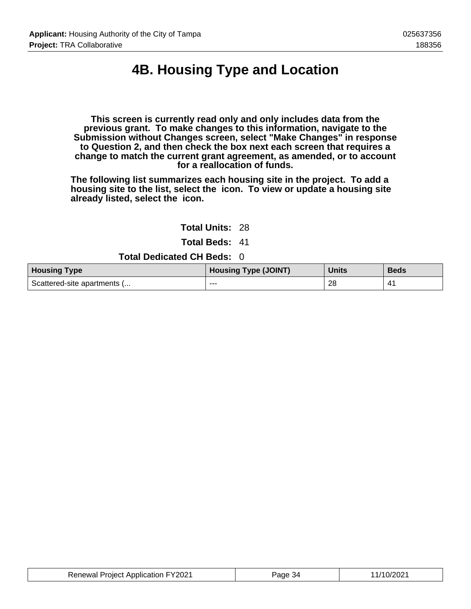# **4B. Housing Type and Location**

**This screen is currently read only and only includes data from the previous grant. To make changes to this information, navigate to the Submission without Changes screen, select "Make Changes" in response to Question 2, and then check the box next each screen that requires a change to match the current grant agreement, as amended, or to account for a reallocation of funds.**

**The following list summarizes each housing site in the project. To add a housing site to the list, select the icon. To view or update a housing site already listed, select the icon.**

#### **Total Units:** 28

#### **Total Beds:** 41

**Total Dedicated CH Beds:** 0

| <b>Housing Type</b>         | Housing Type (JOINT) | Units | <b>Beds</b> |
|-----------------------------|----------------------|-------|-------------|
| Scattered-site apartments ( | ---                  | 28    |             |

| <b>Renewal Project Application FY2021</b> | Page 34 | 11/10/2021 |
|-------------------------------------------|---------|------------|
|-------------------------------------------|---------|------------|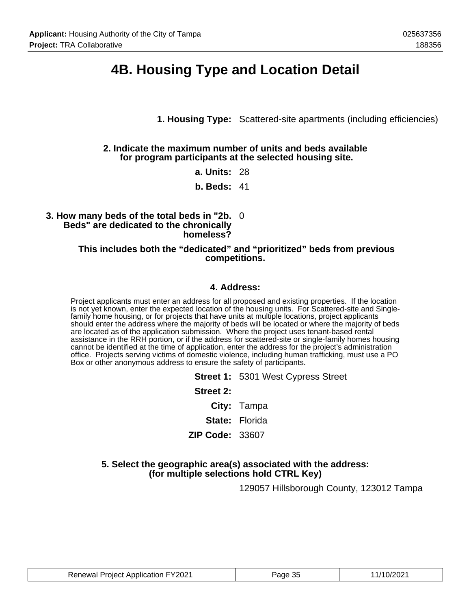# **4B. Housing Type and Location Detail**

**1. Housing Type:** Scattered-site apartments (including efficiencies)

#### **2. Indicate the maximum number of units and beds available for program participants at the selected housing site.**

**a. Units:** 28

**b. Beds:** 41

#### **3. How many beds of the total beds in "2b.** 0 **Beds" are dedicated to the chronically homeless?**

#### **This includes both the "dedicated" and "prioritized" beds from previous competitions.**

### **4. Address:**

Project applicants must enter an address for all proposed and existing properties. If the location is not yet known, enter the expected location of the housing units. For Scattered-site and Singlefamily home housing, or for projects that have units at multiple locations, project applicants should enter the address where the majority of beds will be located or where the majority of beds are located as of the application submission. Where the project uses tenant-based rental assistance in the RRH portion, or if the address for scattered-site or single-family homes housing cannot be identified at the time of application, enter the address for the project's administration office. Projects serving victims of domestic violence, including human trafficking, must use a PO Box or other anonymous address to ensure the safety of participants.

|                 | <b>Street 1: 5301 West Cypress Street</b> |
|-----------------|-------------------------------------------|
| Street 2:       |                                           |
|                 | City: Tampa                               |
|                 | <b>State: Florida</b>                     |
| ZIP Code: 33607 |                                           |
|                 |                                           |

#### **5. Select the geographic area(s) associated with the address: (for multiple selections hold CTRL Key)**

129057 Hillsborough County, 123012 Tampa

| <b>Renewal Project Application FY2021</b> | Page 35 | 11/10/2021 |
|-------------------------------------------|---------|------------|
|-------------------------------------------|---------|------------|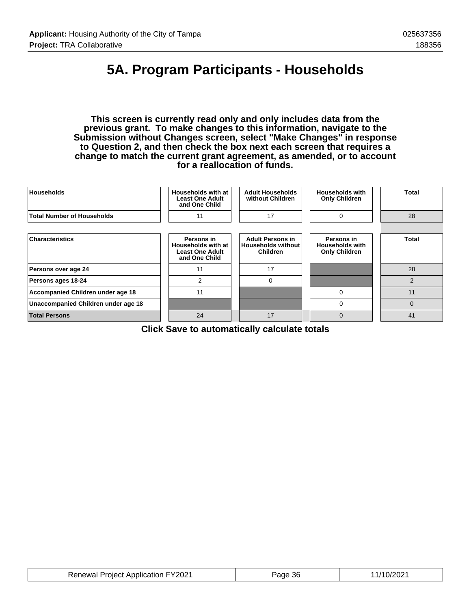# **5A. Program Participants - Households**

**This screen is currently read only and only includes data from the previous grant. To make changes to this information, navigate to the Submission without Changes screen, select "Make Changes" in response to Question 2, and then check the box next each screen that requires a change to match the current grant agreement, as amended, or to account for a reallocation of funds.**

| <b>Households</b>                   | Households with at<br><b>Least One Adult</b><br>and One Child               | <b>Adult Households</b><br>without Children                             | <b>Households with</b><br><b>Only Children</b>               | Total          |
|-------------------------------------|-----------------------------------------------------------------------------|-------------------------------------------------------------------------|--------------------------------------------------------------|----------------|
| <b>Total Number of Households</b>   | 11                                                                          | 17                                                                      | 0                                                            | 28             |
|                                     |                                                                             |                                                                         |                                                              |                |
| <b>Characteristics</b>              | Persons in<br>Households with at<br><b>Least One Adult</b><br>and One Child | <b>Adult Persons in</b><br><b>Households without</b><br><b>Children</b> | Persons in<br><b>Households with</b><br><b>Only Children</b> | <b>Total</b>   |
| Persons over age 24                 | 11                                                                          | 17                                                                      |                                                              | 28             |
| Persons ages 18-24                  | 2                                                                           | $\Omega$                                                                |                                                              | $\overline{2}$ |
| Accompanied Children under age 18   | 11                                                                          |                                                                         | $\mathbf 0$                                                  | 11             |
| Unaccompanied Children under age 18 |                                                                             |                                                                         | $\mathbf 0$                                                  | $\overline{0}$ |
| <b>Total Persons</b>                | 24                                                                          | 17                                                                      | $\mathbf 0$                                                  | 41             |

**Click Save to automatically calculate totals**

| <b>Renewal Project Application FY2021</b> | Page 36 | 11/10/2021 |
|-------------------------------------------|---------|------------|
|-------------------------------------------|---------|------------|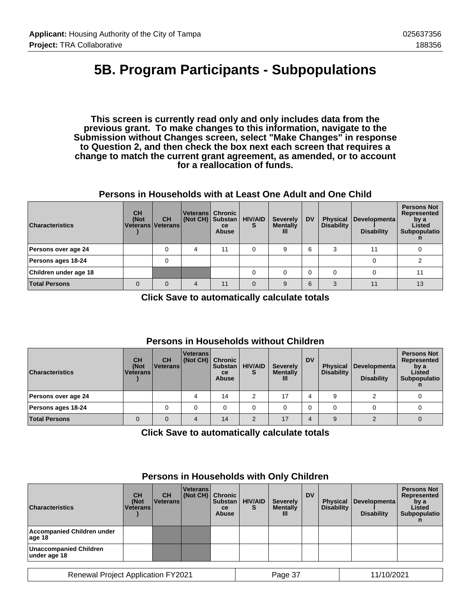# **5B. Program Participants - Subpopulations**

**This screen is currently read only and only includes data from the previous grant. To make changes to this information, navigate to the Submission without Changes screen, select "Make Changes" in response to Question 2, and then check the box next each screen that requires a change to match the current grant agreement, as amended, or to account for a reallocation of funds.**

### **Persons in Households with at Least One Adult and One Child**

| <b>Characteristics</b> | <b>CH</b><br>(Not<br>Veterans   Veterans | <b>CH</b> | (Not CH) Substan | Veterans Chronic<br><b>ce</b><br><b>Abuse</b> | <b>HIV/AID</b><br>s | <b>Severely</b><br><b>Mentally</b><br>Ш | <b>DV</b> | <b>Physical</b><br><b>Disability</b> | Developmenta<br><b>Disability</b> | <b>Persons Not</b><br>Represented<br>by a<br>Listed<br>Subpopulatio |
|------------------------|------------------------------------------|-----------|------------------|-----------------------------------------------|---------------------|-----------------------------------------|-----------|--------------------------------------|-----------------------------------|---------------------------------------------------------------------|
| Persons over age 24    |                                          |           |                  | 11                                            |                     |                                         | 6         |                                      | 11                                |                                                                     |
| Persons ages 18-24     |                                          | 0         |                  |                                               |                     |                                         |           |                                      |                                   |                                                                     |
| Children under age 18  |                                          |           |                  |                                               |                     |                                         |           |                                      |                                   | 11                                                                  |
| <b>Total Persons</b>   |                                          |           |                  | 11                                            | $\Omega$            |                                         | 6         |                                      | 11                                | 13                                                                  |

**Click Save to automatically calculate totals**

### **Persons in Households without Children**

| <b>Characteristics</b> | <b>CH</b><br>(Not<br><b>Veterans</b> | <b>CH</b><br><b>Veterans</b> | <b>Veterans</b><br>(Not CH) Chronic | <b>Substan</b><br>ce<br>Abuse | <b>HIV/AID</b><br>s | <b>Severely</b><br><b>Mentally</b><br>Ш | <b>DV</b> | <b>Physical</b><br><b>Disability</b> | Developmenta<br><b>Disability</b> | <b>Persons Not</b><br>Represented<br>by a<br>Listed<br>Subpopulatio |
|------------------------|--------------------------------------|------------------------------|-------------------------------------|-------------------------------|---------------------|-----------------------------------------|-----------|--------------------------------------|-----------------------------------|---------------------------------------------------------------------|
| Persons over age 24    |                                      |                              |                                     | 14                            |                     | 17                                      | 4         | 9                                    | ົ                                 |                                                                     |
| Persons ages 18-24     |                                      | 0                            |                                     |                               |                     |                                         |           |                                      |                                   |                                                                     |
| <b>Total Persons</b>   | 0                                    |                              | 4                                   | 14                            | ົ                   | 17                                      | 4         | 9                                    | $\Omega$                          |                                                                     |

**Click Save to automatically calculate totals**

| <b>Characteristics</b>                        | <b>CH</b><br>(Not<br><b>Veterans</b> | <b>CH</b><br>Veterans | <b>Veterans</b><br>(Not CH) Chronic | <b>Substan</b><br>ce<br><b>Abuse</b> | <b>HIV/AID</b><br>S | <b>Severely</b><br><b>Mentally</b><br>Ш | <b>DV</b> | <b>Physical</b><br><b>Disability</b> | Developmenta<br><b>Disability</b> | <b>Persons Not</b><br>Represented<br>by a<br>Listed<br>Subpopulatio |
|-----------------------------------------------|--------------------------------------|-----------------------|-------------------------------------|--------------------------------------|---------------------|-----------------------------------------|-----------|--------------------------------------|-----------------------------------|---------------------------------------------------------------------|
| Accompanied Children under<br>age 18          |                                      |                       |                                     |                                      |                     |                                         |           |                                      |                                   |                                                                     |
| <b>Unaccompanied Children</b><br>under age 18 |                                      |                       |                                     |                                      |                     |                                         |           |                                      |                                   |                                                                     |

### **Persons in Households with Only Children**

| <b>Renewal Project Application FY2021</b> | Page 37 | 11/10/2021 |
|-------------------------------------------|---------|------------|
|-------------------------------------------|---------|------------|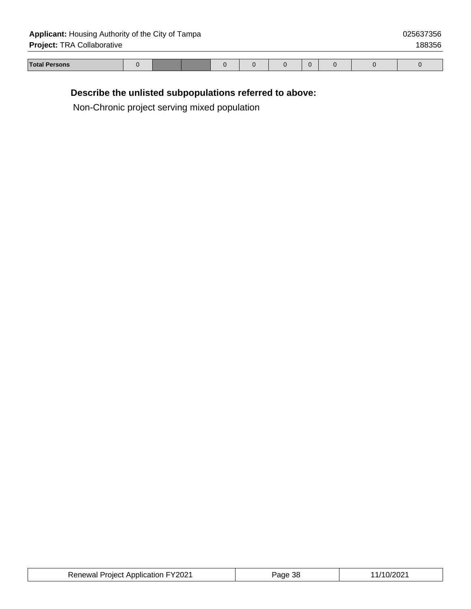| <b>Total Persons</b> |  |  |  |  |  |
|----------------------|--|--|--|--|--|

### **Describe the unlisted subpopulations referred to above:**

Non-Chronic project serving mixed population

| <b>Renewal Project Application FY2021</b> | Page 38 | 11/10/2021 |
|-------------------------------------------|---------|------------|
|-------------------------------------------|---------|------------|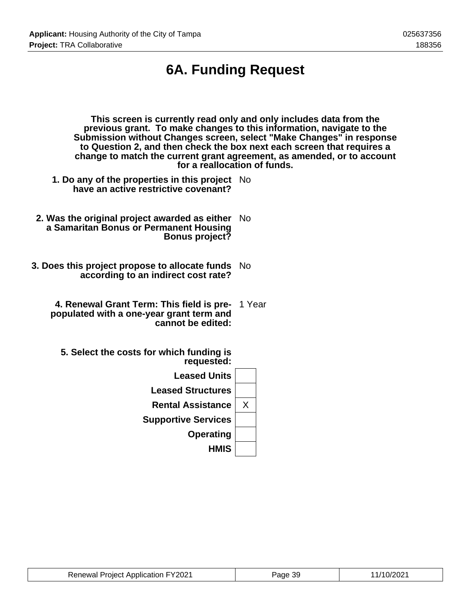# **6A. Funding Request**

| This screen is currently read only and only includes data from the<br>previous grant. To make changes to this information, navigate to the<br>Submission without Changes screen, select "Make Changes" in response<br>to Question 2, and then check the box next each screen that requires a<br>change to match the current grant agreement, as amended, or to account<br>for a reallocation of funds. |     |  |  |  |  |  |  |  |
|--------------------------------------------------------------------------------------------------------------------------------------------------------------------------------------------------------------------------------------------------------------------------------------------------------------------------------------------------------------------------------------------------------|-----|--|--|--|--|--|--|--|
| 1. Do any of the properties in this project No<br>have an active restrictive covenant?                                                                                                                                                                                                                                                                                                                 |     |  |  |  |  |  |  |  |
| 2. Was the original project awarded as either<br>a Samaritan Bonus or Permanent Housing<br><b>Bonus project?</b>                                                                                                                                                                                                                                                                                       | No. |  |  |  |  |  |  |  |
| 3. Does this project propose to allocate funds No<br>according to an indirect cost rate?                                                                                                                                                                                                                                                                                                               |     |  |  |  |  |  |  |  |
| 4. Renewal Grant Term: This field is pre- 1 Year<br>populated with a one-year grant term and<br>cannot be edited:                                                                                                                                                                                                                                                                                      |     |  |  |  |  |  |  |  |
| 5. Select the costs for which funding is<br>requested:                                                                                                                                                                                                                                                                                                                                                 |     |  |  |  |  |  |  |  |
| <b>Leased Units</b>                                                                                                                                                                                                                                                                                                                                                                                    |     |  |  |  |  |  |  |  |
| <b>Leased Structures</b>                                                                                                                                                                                                                                                                                                                                                                               |     |  |  |  |  |  |  |  |
| <b>Rental Assistance</b>                                                                                                                                                                                                                                                                                                                                                                               | X   |  |  |  |  |  |  |  |
| <b>Supportive Services</b>                                                                                                                                                                                                                                                                                                                                                                             |     |  |  |  |  |  |  |  |
| Operating                                                                                                                                                                                                                                                                                                                                                                                              |     |  |  |  |  |  |  |  |

**HMIS**

| <b>Renewal Project Application FY2021</b> | Page 39 | 11/10/2021 |
|-------------------------------------------|---------|------------|
|-------------------------------------------|---------|------------|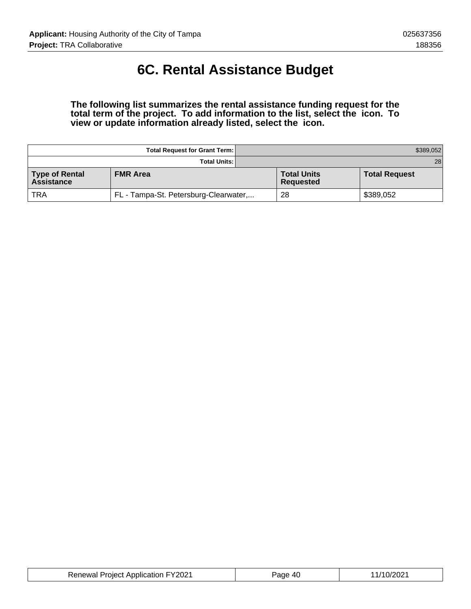# **6C. Rental Assistance Budget**

#### **The following list summarizes the rental assistance funding request for the total term of the project. To add information to the list, select the icon. To view or update information already listed, select the icon.**

|                                     | Total Request for Grant Term:         |  |                                        | \$389,052            |
|-------------------------------------|---------------------------------------|--|----------------------------------------|----------------------|
|                                     | <b>Total Units:</b>                   |  |                                        | 28                   |
| Type of Rental<br><b>Assistance</b> | <b>FMR Area</b>                       |  | <b>Total Units</b><br><b>Requested</b> | <b>Total Request</b> |
| <b>TRA</b>                          | FL - Tampa-St. Petersburg-Clearwater, |  | 28                                     | \$389,052            |

| <b>Renewal Project Application FY2021</b> | Page 40 | 11/10/2021 |
|-------------------------------------------|---------|------------|
|-------------------------------------------|---------|------------|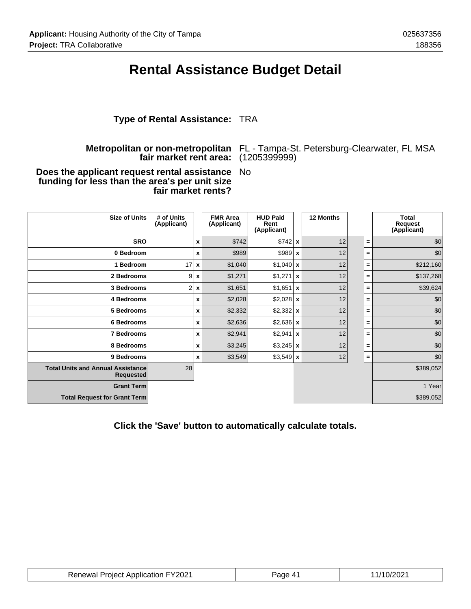### **Rental Assistance Budget Detail**

### **Type of Rental Assistance:** TRA

### **Metropolitan or non-metropolitan fair market rent area:**

FL - Tampa-St. Petersburg-Clearwater, FL MSA (1205399999)

#### **Does the applicant request rental assistance funding for less than the area's per unit size fair market rents?** No

| <b>Size of Units</b>                                         | # of Units<br>(Applicant) |                           | <b>FMR Area</b><br>(Applicant) | <b>HUD Paid</b><br>Rent<br>(Applicant) | 12 Months |          | <b>Total</b><br>Request<br>(Applicant) |
|--------------------------------------------------------------|---------------------------|---------------------------|--------------------------------|----------------------------------------|-----------|----------|----------------------------------------|
| <b>SRO</b>                                                   |                           | $\boldsymbol{x}$          | \$742                          | $$742$ $\times$                        | 12        | Ξ.       | \$0                                    |
| 0 Bedroom                                                    |                           | $\mathbf{x}$              | \$989                          | $$989$ $\times$                        | 12        | =        | \$0                                    |
| 1 Bedroom                                                    | $17 \times$               |                           | \$1,040                        | $$1,040$ x                             | 12        | $=$      | \$212,160                              |
| 2 Bedrooms                                                   | 9                         | ١x                        | \$1,271                        | $$1,271$ $\times$                      | 12        | =        | \$137,268                              |
| 3 Bedrooms                                                   | $\overline{2}$            | $\boldsymbol{\mathsf{x}}$ | \$1,651                        | $$1,651$ x                             | 12        | Ξ        | \$39,624                               |
| 4 Bedrooms                                                   |                           | X                         | \$2,028                        | $$2,028$ x                             | 12        | =        | \$0                                    |
| 5 Bedrooms                                                   |                           | X                         | \$2,332                        | $$2,332$ x                             | 12        | $=$      | \$0                                    |
| 6 Bedrooms                                                   |                           | $\boldsymbol{x}$          | \$2,636                        | $$2,636$ x                             | 12        | Ξ        | \$0                                    |
| 7 Bedrooms                                                   |                           | X                         | \$2,941                        | $$2,941$ x                             | 12        | =        | \$0                                    |
| 8 Bedrooms                                                   |                           | $\boldsymbol{x}$          | \$3,245                        | $$3,245$ x                             | 12        | $\equiv$ | \$0                                    |
| 9 Bedrooms                                                   |                           | X                         | \$3,549                        | $$3,549$ x                             | 12        | $=$      | \$0                                    |
| <b>Total Units and Annual Assistance</b><br><b>Requested</b> | 28                        |                           |                                |                                        |           |          | \$389,052                              |
| <b>Grant Term</b>                                            |                           |                           |                                |                                        |           |          | 1 Year                                 |
| <b>Total Request for Grant Term</b>                          |                           |                           |                                |                                        |           |          | \$389,052                              |

**Click the 'Save' button to automatically calculate totals.**

| <b>Renewal Project Application FY2021</b> | <sup>9</sup> age 41 | 1/10/202 <sup>4</sup> |
|-------------------------------------------|---------------------|-----------------------|
|-------------------------------------------|---------------------|-----------------------|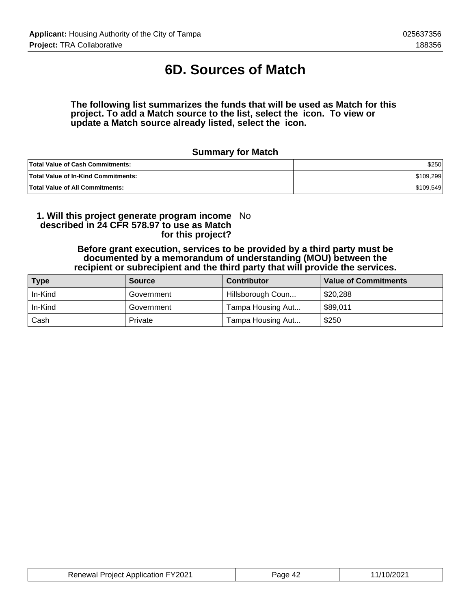# **6D. Sources of Match**

#### **The following list summarizes the funds that will be used as Match for this project. To add a Match source to the list, select the icon. To view or update a Match source already listed, select the icon.**

### **Summary for Match**

| <b>Total Value of Cash Commitments:</b>    | \$250     |
|--------------------------------------------|-----------|
| <b>Total Value of In-Kind Commitments:</b> | \$109.299 |
| <b>Total Value of All Commitments:</b>     | \$109,549 |

#### **1. Will this project generate program income** No **described in 24 CFR 578.97 to use as Match for this project?**

#### **Before grant execution, services to be provided by a third party must be documented by a memorandum of understanding (MOU) between the recipient or subrecipient and the third party that will provide the services.**

| <b>Type</b> | <b>Source</b> | <b>Contributor</b> | <b>Value of Commitments</b> |
|-------------|---------------|--------------------|-----------------------------|
| In-Kind     | Government    | Hillsborough Coun  | \$20,288                    |
| In-Kind     | Government    | Tampa Housing Aut  | \$89,011                    |
| Cash        | Private       | Tampa Housing Aut  | \$250                       |

| Renewal Project Application FY2021 | <sup>o</sup> aqe 42 | 11/10/2021 |
|------------------------------------|---------------------|------------|
|                                    |                     |            |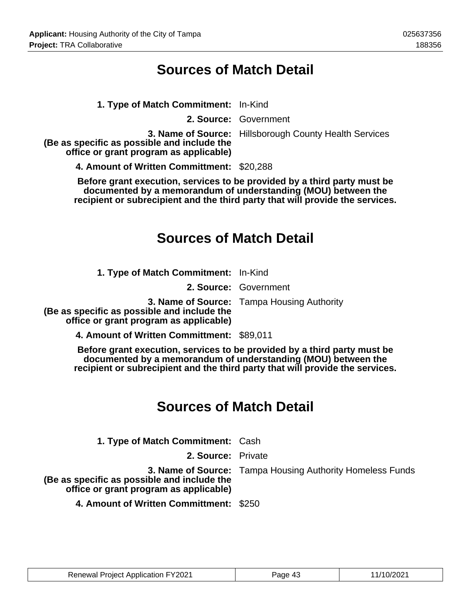### **Sources of Match Detail**

**1. Type of Match Commitment:** In-Kind **2. Source:** Government **3. Name of Source:** Hillsborough County Health Services  **(Be as specific as possible and include the office or grant program as applicable) 4. Amount of Written Committment:** \$20,288 **Before grant execution, services to be provided by a third party must be**

**documented by a memorandum of understanding (MOU) between the recipient or subrecipient and the third party that will provide the services.**

### **Sources of Match Detail**

**1. Type of Match Commitment:** In-Kind

**2. Source:** Government

 **(Be as specific as possible and include the office or grant program as applicable)**

**4. Amount of Written Committment:** \$89,011

**Before grant execution, services to be provided by a third party must be documented by a memorandum of understanding (MOU) between the recipient or subrecipient and the third party that will provide the services.**

### **Sources of Match Detail**

**1. Type of Match Commitment:** Cash

**2. Source:** Private

**3. Name of Source:** Tampa Housing Authority Homeless Funds  **(Be as specific as possible and include the office or grant program as applicable)**

**4. Amount of Written Committment:** \$250

| <b>Renewal Project Application FY2021</b> | Page 43 | 11/10/2021 |
|-------------------------------------------|---------|------------|
|-------------------------------------------|---------|------------|

**3. Name of Source:** Tampa Housing Authority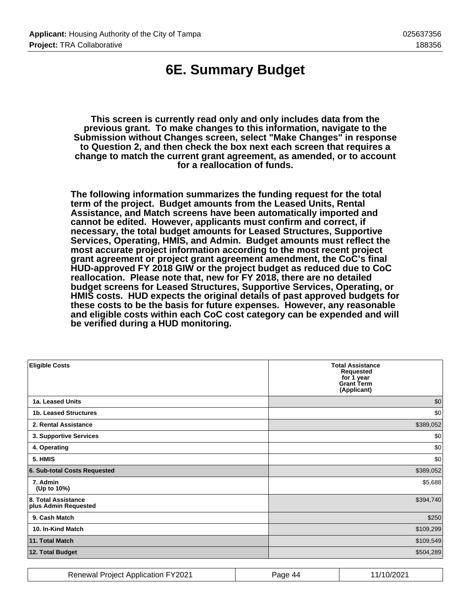# **6E. Summary Budget**

**This screen is currently read only and only includes data from the previous grant. To make changes to this information, navigate to the Submission without Changes screen, select "Make Changes" in response to Question 2, and then check the box next each screen that requires a change to match the current grant agreement, as amended, or to account for a reallocation of funds.**

**The following information summarizes the funding request for the total term of the project. Budget amounts from the Leased Units, Rental Assistance, and Match screens have been automatically imported and cannot be edited. However, applicants must confirm and correct, if necessary, the total budget amounts for Leased Structures, Supportive Services, Operating, HMIS, and Admin. Budget amounts must reflect the most accurate project information according to the most recent project grant agreement or project grant agreement amendment, the CoC's final HUD-approved FY 2018 GIW or the project budget as reduced due to CoC reallocation. Please note that, new for FY 2018, there are no detailed budget screens for Leased Structures, Supportive Services, Operating, or HMIS costs. HUD expects the original details of past approved budgets for these costs to be the basis for future expenses. However, any reasonable and eligible costs within each CoC cost category can be expended and will be verified during a HUD monitoring.**

| <b>Eligible Costs</b>                       | <b>Total Assistance</b><br><b>Requested</b><br>for 1 year<br><b>Grant Term</b><br>(Applicant) |
|---------------------------------------------|-----------------------------------------------------------------------------------------------|
| 1a. Leased Units                            | \$0                                                                                           |
| 1b. Leased Structures                       | \$0                                                                                           |
| 2. Rental Assistance                        | \$389,052                                                                                     |
| 3. Supportive Services                      | \$0                                                                                           |
| 4. Operating                                | \$0                                                                                           |
| 5. HMIS                                     | \$0                                                                                           |
| 6. Sub-total Costs Requested                | \$389,052                                                                                     |
| 7. Admin<br>(Up to 10%)                     | \$5,688                                                                                       |
| 8. Total Assistance<br>plus Admin Requested | \$394,740                                                                                     |
| 9. Cash Match                               | \$250                                                                                         |
| 10. In-Kind Match                           | \$109,299                                                                                     |
| 11. Total Match                             | \$109,549                                                                                     |
| 12. Total Budget                            | \$504,289                                                                                     |

| <b>Renewal Project Application FY2021</b> | Paqe 44 | 11/10/2021 |
|-------------------------------------------|---------|------------|
|-------------------------------------------|---------|------------|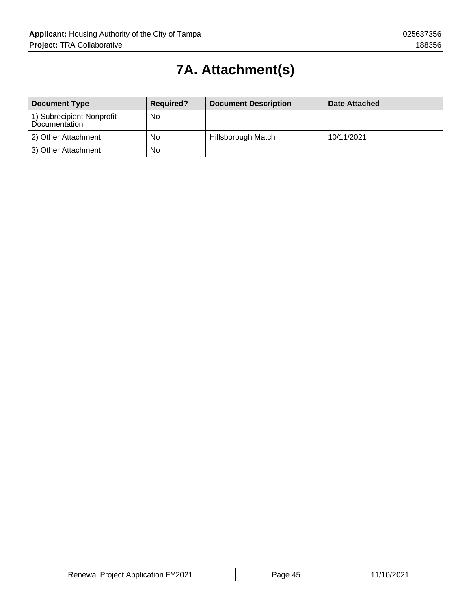# **7A. Attachment(s)**

| <b>Document Type</b>                       | <b>Required?</b> | <b>Document Description</b> | Date Attached |
|--------------------------------------------|------------------|-----------------------------|---------------|
| 1) Subrecipient Nonprofit<br>Documentation | No               |                             |               |
| 2) Other Attachment                        | No               | Hillsborough Match          | 10/11/2021    |
| 3) Other Attachment                        | No               |                             |               |

| <b>Renewal Project Application FY2021</b> | 'age<br>$\mathbf{u}$ | ∪<br>WZ. |
|-------------------------------------------|----------------------|----------|
|-------------------------------------------|----------------------|----------|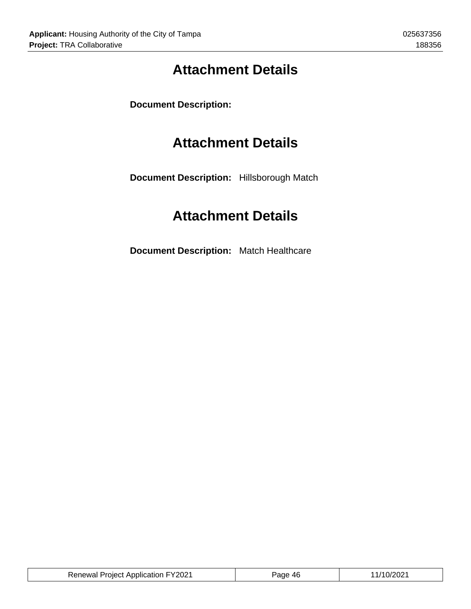# **Attachment Details**

**Document Description:**

# **Attachment Details**

**Document Description:** Hillsborough Match

# **Attachment Details**

**Document Description:** Match Healthcare

| <b>Renewal Project Application FY2021</b> | Page 46 | /10/2021 |
|-------------------------------------------|---------|----------|
|                                           |         |          |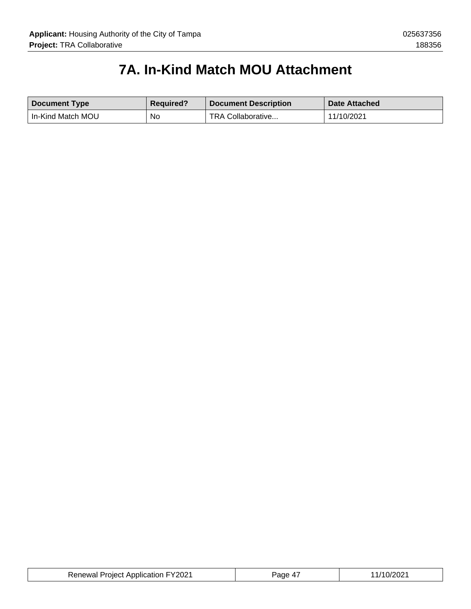# **7A. In-Kind Match MOU Attachment**

| <b>↓Document Type</b> | <b>Required?</b> | Document Description | <b>Date Attached</b> |
|-----------------------|------------------|----------------------|----------------------|
| I In-Kind Match MOU   | No               | TRA Collaborative    | 11/10/2021           |

| <b>Renewal Project Application FY2021</b> | Page 47 | 11/10/2021 |
|-------------------------------------------|---------|------------|
|-------------------------------------------|---------|------------|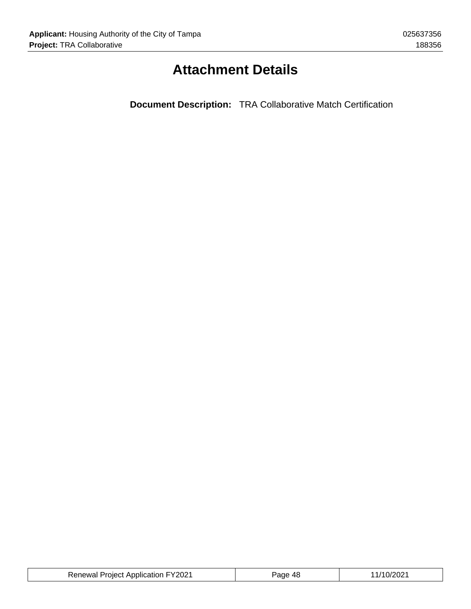# **Attachment Details**

**Document Description:** TRA Collaborative Match Certification

| <b>Renewal Project Application FY2021</b> | Page 48 | 11/10/2021 |
|-------------------------------------------|---------|------------|
|-------------------------------------------|---------|------------|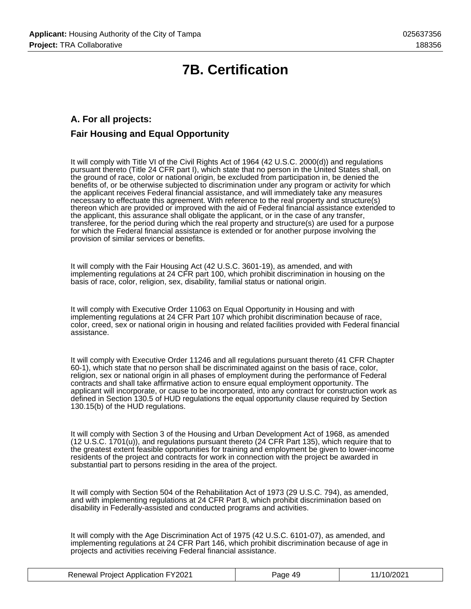# **7B. Certification**

### **A. For all projects: Fair Housing and Equal Opportunity**

It will comply with Title VI of the Civil Rights Act of 1964 (42 U.S.C. 2000(d)) and regulations pursuant thereto (Title 24 CFR part I), which state that no person in the United States shall, on the ground of race, color or national origin, be excluded from participation in, be denied the benefits of, or be otherwise subjected to discrimination under any program or activity for which the applicant receives Federal financial assistance, and will immediately take any measures necessary to effectuate this agreement. With reference to the real property and structure(s) thereon which are provided or improved with the aid of Federal financial assistance extended to the applicant, this assurance shall obligate the applicant, or in the case of any transfer, transferee, for the period during which the real property and structure(s) are used for a purpose for which the Federal financial assistance is extended or for another purpose involving the provision of similar services or benefits.

It will comply with the Fair Housing Act (42 U.S.C. 3601-19), as amended, and with implementing regulations at 24 CFR part 100, which prohibit discrimination in housing on the basis of race, color, religion, sex, disability, familial status or national origin.

It will comply with Executive Order 11063 on Equal Opportunity in Housing and with implementing regulations at 24 CFR Part 107 which prohibit discrimination because of race, color, creed, sex or national origin in housing and related facilities provided with Federal financial assistance.

It will comply with Executive Order 11246 and all regulations pursuant thereto (41 CFR Chapter 60-1), which state that no person shall be discriminated against on the basis of race, color, religion, sex or national origin in all phases of employment during the performance of Federal contracts and shall take affirmative action to ensure equal employment opportunity. The applicant will incorporate, or cause to be incorporated, into any contract for construction work as defined in Section 130.5 of HUD regulations the equal opportunity clause required by Section 130.15(b) of the HUD regulations.

It will comply with Section 3 of the Housing and Urban Development Act of 1968, as amended (12 U.S.C. 1701(u)), and regulations pursuant thereto (24 CFR Part 135), which require that to the greatest extent feasible opportunities for training and employment be given to lower-income residents of the project and contracts for work in connection with the project be awarded in substantial part to persons residing in the area of the project.

It will comply with Section 504 of the Rehabilitation Act of 1973 (29 U.S.C. 794), as amended, and with implementing regulations at 24 CFR Part 8, which prohibit discrimination based on disability in Federally-assisted and conducted programs and activities.

It will comply with the Age Discrimination Act of 1975 (42 U.S.C. 6101-07), as amended, and implementing regulations at 24 CFR Part 146, which prohibit discrimination because of age in projects and activities receiving Federal financial assistance.

| <b>Renewal Project Application FY2021</b> | Page 49 | 11/10/2021 |
|-------------------------------------------|---------|------------|
|-------------------------------------------|---------|------------|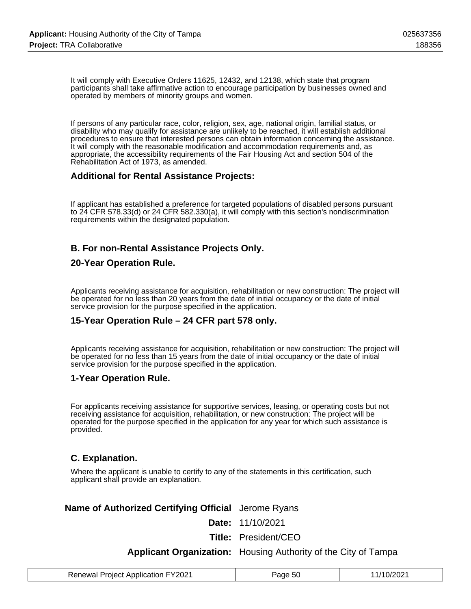It will comply with Executive Orders 11625, 12432, and 12138, which state that program participants shall take affirmative action to encourage participation by businesses owned and operated by members of minority groups and women.

If persons of any particular race, color, religion, sex, age, national origin, familial status, or disability who may qualify for assistance are unlikely to be reached, it will establish additional procedures to ensure that interested persons can obtain information concerning the assistance. It will comply with the reasonable modification and accommodation requirements and, as appropriate, the accessibility requirements of the Fair Housing Act and section 504 of the Rehabilitation Act of 1973, as amended.

### **Additional for Rental Assistance Projects:**

If applicant has established a preference for targeted populations of disabled persons pursuant to 24 CFR 578.33(d) or 24 CFR 582.330(a), it will comply with this section's nondiscrimination requirements within the designated population.

### **B. For non-Rental Assistance Projects Only.**

#### **20-Year Operation Rule.**

Applicants receiving assistance for acquisition, rehabilitation or new construction: The project will be operated for no less than 20 years from the date of initial occupancy or the date of initial service provision for the purpose specified in the application.

### **15-Year Operation Rule – 24 CFR part 578 only.**

Applicants receiving assistance for acquisition, rehabilitation or new construction: The project will be operated for no less than 15 years from the date of initial occupancy or the date of initial service provision for the purpose specified in the application.

#### **1-Year Operation Rule.**

For applicants receiving assistance for supportive services, leasing, or operating costs but not receiving assistance for acquisition, rehabilitation, or new construction: The project will be operated for the purpose specified in the application for any year for which such assistance is provided.

### **C. Explanation.**

Where the applicant is unable to certify to any of the statements in this certification, such applicant shall provide an explanation.

### **Name of Authorized Certifying Official** Jerome Ryans

**Date:** 11/10/2021

#### **Title:** President/CEO

#### **Applicant Organization:** Housing Authority of the City of Tampa

| <b>Renewal Project Application FY2021</b> | Page 50 | 11/10/2021 |
|-------------------------------------------|---------|------------|
|-------------------------------------------|---------|------------|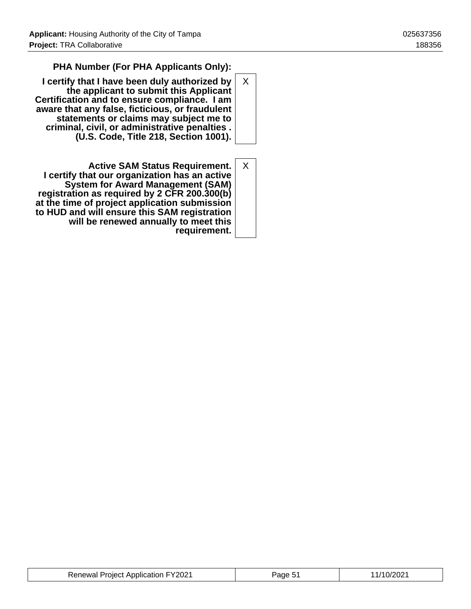### **PHA Number (For PHA Applicants Only):**

- **I certify that I have been duly authorized by the applicant to submit this Applicant Certification and to ensure compliance. I am aware that any false, ficticious, or fraudulent statements or claims may subject me to criminal, civil, or administrative penalties . (U.S. Code, Title 218, Section 1001).** X
- **Active SAM Status Requirement. I certify that our organization has an active System for Award Management (SAM) registration as required by 2 CFR 200.300(b) at the time of project application submission to HUD and will ensure this SAM registration will be renewed annually to meet this requirement.** X

| <b>Renewal Project Application FY2021</b> | Page 51 | 11/10/2021 |
|-------------------------------------------|---------|------------|
|-------------------------------------------|---------|------------|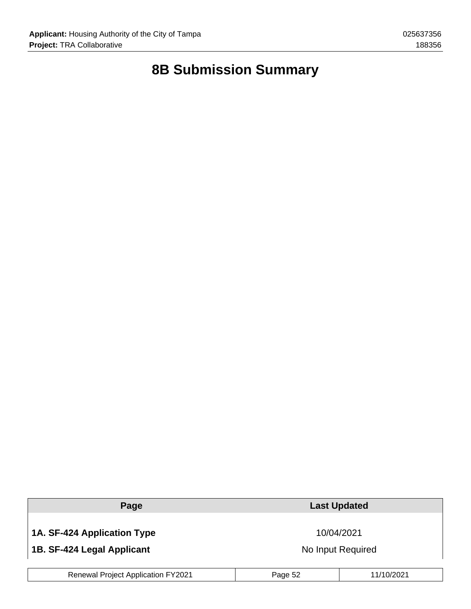# **8B Submission Summary**

| Page                                      | <b>Last Updated</b> |            |  |  |
|-------------------------------------------|---------------------|------------|--|--|
| 1A. SF-424 Application Type               | 10/04/2021          |            |  |  |
| 1B. SF-424 Legal Applicant                | No Input Required   |            |  |  |
| <b>Renewal Project Application FY2021</b> | Page 52             | 11/10/2021 |  |  |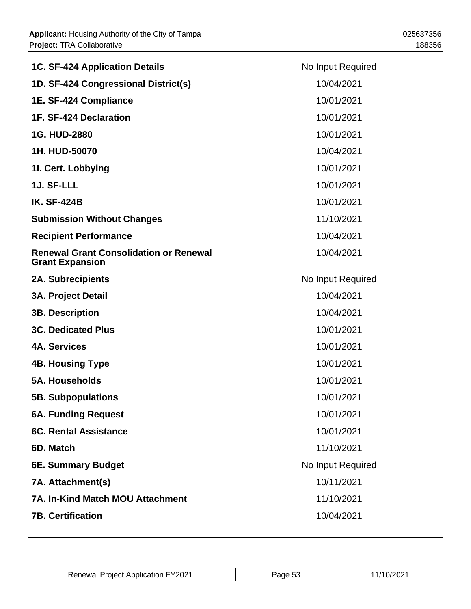| <b>1C. SF-424 Application Details</b>                                   | No Input Required |
|-------------------------------------------------------------------------|-------------------|
| 1D. SF-424 Congressional District(s)                                    | 10/04/2021        |
| 1E. SF-424 Compliance                                                   | 10/01/2021        |
| 1F. SF-424 Declaration                                                  | 10/01/2021        |
| 1G. HUD-2880                                                            | 10/01/2021        |
| 1H. HUD-50070                                                           | 10/04/2021        |
| 11. Cert. Lobbying                                                      | 10/01/2021        |
| 1J. SF-LLL                                                              | 10/01/2021        |
| <b>IK. SF-424B</b>                                                      | 10/01/2021        |
| <b>Submission Without Changes</b>                                       | 11/10/2021        |
| <b>Recipient Performance</b>                                            | 10/04/2021        |
| <b>Renewal Grant Consolidation or Renewal</b><br><b>Grant Expansion</b> | 10/04/2021        |
| <b>2A. Subrecipients</b>                                                | No Input Required |
|                                                                         |                   |
| <b>3A. Project Detail</b>                                               | 10/04/2021        |
| <b>3B. Description</b>                                                  | 10/04/2021        |
| <b>3C. Dedicated Plus</b>                                               | 10/01/2021        |
| <b>4A. Services</b>                                                     | 10/01/2021        |
| <b>4B. Housing Type</b>                                                 | 10/01/2021        |
| <b>5A. Households</b>                                                   | 10/01/2021        |
| <b>5B. Subpopulations</b>                                               | 10/01/2021        |
| <b>6A. Funding Request</b>                                              | 10/01/2021        |
| <b>6C. Rental Assistance</b>                                            | 10/01/2021        |
| 6D. Match                                                               | 11/10/2021        |
| <b>6E. Summary Budget</b>                                               | No Input Required |
| 7A. Attachment(s)                                                       | 10/11/2021        |
| <b>7A. In-Kind Match MOU Attachment</b>                                 | 11/10/2021        |

| Y2021 <sup>-</sup><br>Renewal<br>. olert.<br>. Annlication '<br>$- - - -$<br>. | япе<br>JJ | .UZ. |
|--------------------------------------------------------------------------------|-----------|------|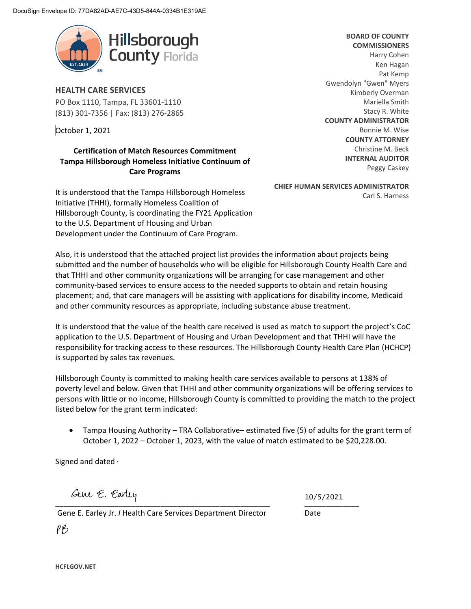

**HEALTH CARE SERVICES** PO Box 1110, Tampa, FL 33601‐1110 (813) 301‐7356 | Fax: (813) 276‐2865

October 1, 2021

### **Certification of Match Resources Commitment Tampa Hillsborough Homeless Initiative Continuum of Care Programs**

It is understood that the Tampa Hillsborough Homeless Initiative (THHI), formally Homeless Coalition of Hillsborough County, is coordinating the FY21 Application to the U.S. Department of Housing and Urban Development under the Continuum of Care Program.

 **COMMISSIONERS**  Harry Cohen Ken Hagan Pat Kemp Gwendolyn "Gwen" Myers Kimberly Overman Mariella Smith Stacy R. White **COUNTY ADMINISTRATOR**  Bonnie M. Wise **COUNTY ATTORNEY** Christine M. Beck **INTERNAL AUDITOR**  Peggy Caskey

**BOARD OF COUNTY** 

**CHIEF HUMAN SERVICES ADMINISTRATOR** Carl S. Harness

Also, it is understood that the attached project list provides the information about projects being submitted and the number of households who will be eligible for Hillsborough County Health Care and that THHI and other community organizations will be arranging for case management and other community-based services to ensure access to the needed supports to obtain and retain housing placement; and, that care managers will be assisting with applications for disability income, Medicaid and other community resources as appropriate, including substance abuse treatment.

It is understood that the value of the health care received is used as match to support the project's CoC application to the U.S. Department of Housing and Urban Development and that THHI will have the responsibility for tracking access to these resources. The Hillsborough County Health Care Plan (HCHCP) is supported by sales tax revenues.

Hillsborough County is committed to making health care services available to persons at 138% of poverty level and below. Given that THHI and other community organizations will be offering services to persons with little or no income, Hillsborough County is committed to providing the match to the project listed below for the grant term indicated:

 Tampa Housing Authority – TRA Collaborative– estimated five (5) of adults for the grant term of October 1, 2022 – October 1, 2023, with the value of match estimated to be \$20,228.00.

Signed and dated ∙

Gene E. Earley

\_\_\_\_\_\_\_\_\_\_\_\_\_\_\_\_\_\_\_\_\_\_\_\_\_\_\_\_\_\_\_\_\_\_\_\_\_\_\_\_\_\_\_\_\_\_\_\_\_\_\_ \_\_\_\_\_\_\_\_\_\_\_\_\_ 10/5/2021

Gene E. Earley Jr. *I* Health Care Services Department Director **Date** 

 $\ell$ B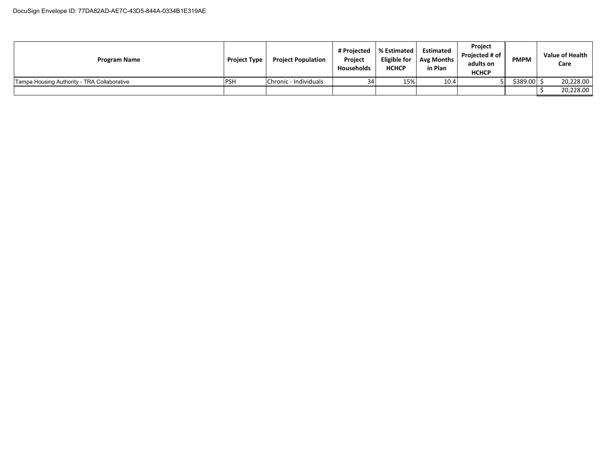| <b>Program Name</b>                         | <b>Project Type</b> | <b>Project Population</b> | # Proiected<br>Project<br><b>Households</b> | ∣% Estimated  <br><b>Eligible for</b><br><b>HCHCP</b> | Estimated<br><b>Avg Months</b><br>in Plan | Project<br>Projected # of  <br>adults on<br><b>HCHCP</b> | <b>PMPM</b> | <b>Value of Health</b><br>Care |
|---------------------------------------------|---------------------|---------------------------|---------------------------------------------|-------------------------------------------------------|-------------------------------------------|----------------------------------------------------------|-------------|--------------------------------|
| Tampa Housing Authority - TRA Collaborative | <b>PSH</b>          | Chronic - Individuals     | 34                                          | 15%                                                   | 10.4                                      |                                                          | \$389.00    | 20,228.00                      |
|                                             |                     |                           |                                             |                                                       |                                           |                                                          |             | 20,228.00                      |